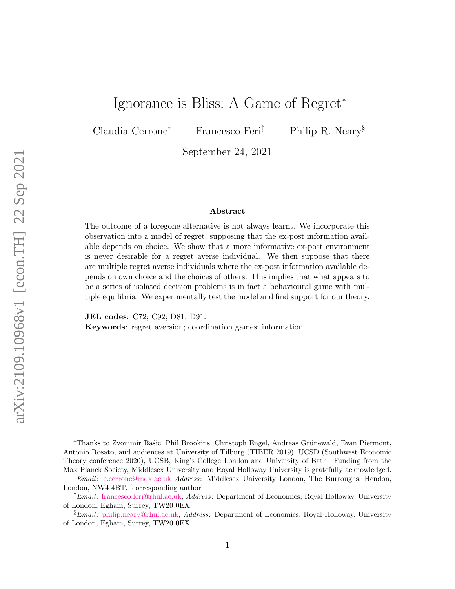# Ignorance is Bliss: A Game of Regret<sup>∗</sup>

Claudia Cerrone† Francesco Feri‡ Philip R. Neary§

September 24, 2021

#### Abstract

The outcome of a foregone alternative is not always learnt. We incorporate this observation into a model of regret, supposing that the ex-post information available depends on choice. We show that a more informative ex-post environment is never desirable for a regret averse individual. We then suppose that there are multiple regret averse individuals where the ex-post information available depends on own choice and the choices of others. This implies that what appears to be a series of isolated decision problems is in fact a behavioural game with multiple equilibria. We experimentally test the model and find support for our theory.

JEL codes: C72; C92; D81; D91. Keywords: regret aversion; coordination games; information.

<sup>\*</sup>Thanks to Zvonimir Baŝić, Phil Brookins, Christoph Engel, Andreas Grünewald, Evan Piermont, Antonio Rosato, and audiences at University of Tilburg (TIBER 2019), UCSD (Southwest Economic Theory conference 2020), UCSB, King's College London and University of Bath. Funding from the Max Planck Society, Middlesex University and Royal Holloway University is gratefully acknowledged.

<sup>&</sup>lt;sup>†</sup>*Email*: [c.cerrone@mdx.ac.uk](mailto:c.cerrone@mdx.ac.uk) *Address*: Middlesex University London, The Burroughs, Hendon, London, NW4 4BT. [corresponding author]

<sup>‡</sup>Email: [francesco.feri@rhul.ac.uk;](mailto:francesco.feri@rhul.ac.uk) Address: Department of Economics, Royal Holloway, University of London, Egham, Surrey, TW20 0EX.

<sup>&</sup>lt;sup>§</sup> Email: [philip.neary@rhul.ac.uk;](mailto:philip.neary@rhul.ac.uk) Address: Department of Economics, Royal Holloway, University of London, Egham, Surrey, TW20 0EX.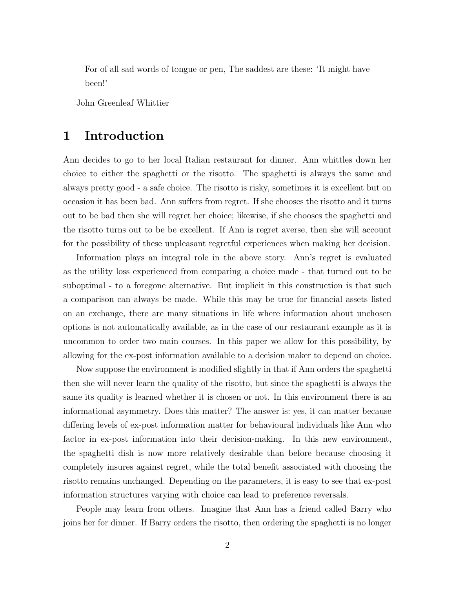For of all sad words of tongue or pen, The saddest are these: 'It might have been!'

John Greenleaf Whittier

# <span id="page-1-0"></span>1 Introduction

Ann decides to go to her local Italian restaurant for dinner. Ann whittles down her choice to either the spaghetti or the risotto. The spaghetti is always the same and always pretty good - a safe choice. The risotto is risky, sometimes it is excellent but on occasion it has been bad. Ann suffers from regret. If she chooses the risotto and it turns out to be bad then she will regret her choice; likewise, if she chooses the spaghetti and the risotto turns out to be be excellent. If Ann is regret averse, then she will account for the possibility of these unpleasant regretful experiences when making her decision.

Information plays an integral role in the above story. Ann's regret is evaluated as the utility loss experienced from comparing a choice made - that turned out to be suboptimal - to a foregone alternative. But implicit in this construction is that such a comparison can always be made. While this may be true for financial assets listed on an exchange, there are many situations in life where information about unchosen options is not automatically available, as in the case of our restaurant example as it is uncommon to order two main courses. In this paper we allow for this possibility, by allowing for the ex-post information available to a decision maker to depend on choice.

Now suppose the environment is modified slightly in that if Ann orders the spaghetti then she will never learn the quality of the risotto, but since the spaghetti is always the same its quality is learned whether it is chosen or not. In this environment there is an informational asymmetry. Does this matter? The answer is: yes, it can matter because differing levels of ex-post information matter for behavioural individuals like Ann who factor in ex-post information into their decision-making. In this new environment, the spaghetti dish is now more relatively desirable than before because choosing it completely insures against regret, while the total benefit associated with choosing the risotto remains unchanged. Depending on the parameters, it is easy to see that ex-post information structures varying with choice can lead to preference reversals.

People may learn from others. Imagine that Ann has a friend called Barry who joins her for dinner. If Barry orders the risotto, then ordering the spaghetti is no longer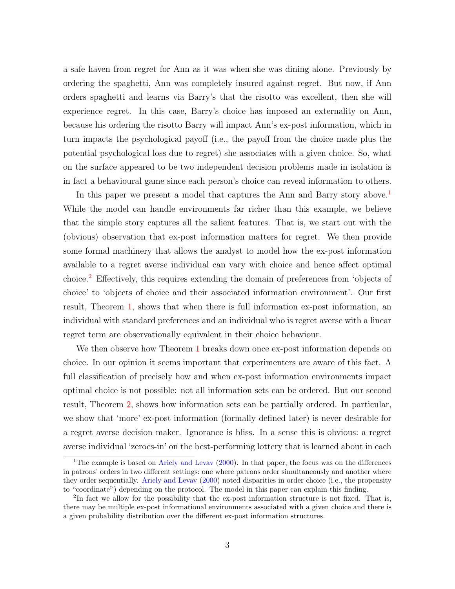a safe haven from regret for Ann as it was when she was dining alone. Previously by ordering the spaghetti, Ann was completely insured against regret. But now, if Ann orders spaghetti and learns via Barry's that the risotto was excellent, then she will experience regret. In this case, Barry's choice has imposed an externality on Ann, because his ordering the risotto Barry will impact Ann's ex-post information, which in turn impacts the psychological payoff (i.e., the payoff from the choice made plus the potential psychological loss due to regret) she associates with a given choice. So, what on the surface appeared to be two independent decision problems made in isolation is in fact a behavioural game since each person's choice can reveal information to others.

In this paper we present a model that captures the Ann and Barry story above.<sup>[1](#page-2-0)</sup> While the model can handle environments far richer than this example, we believe that the simple story captures all the salient features. That is, we start out with the (obvious) observation that ex-post information matters for regret. We then provide some formal machinery that allows the analyst to model how the ex-post information available to a regret averse individual can vary with choice and hence affect optimal choice.[2](#page-2-1) Effectively, this requires extending the domain of preferences from 'objects of choice' to 'objects of choice and their associated information environment'. Our first result, Theorem [1,](#page-9-0) shows that when there is full information ex-post information, an individual with standard preferences and an individual who is regret averse with a linear regret term are observationally equivalent in their choice behaviour.

We then observe how Theorem [1](#page-9-0) breaks down once ex-post information depends on choice. In our opinion it seems important that experimenters are aware of this fact. A full classification of precisely how and when ex-post information environments impact optimal choice is not possible: not all information sets can be ordered. But our second result, Theorem [2,](#page-11-0) shows how information sets can be partially ordered. In particular, we show that 'more' ex-post information (formally defined later) is never desirable for a regret averse decision maker. Ignorance is bliss. In a sense this is obvious: a regret averse individual 'zeroes-in' on the best-performing lottery that is learned about in each

<span id="page-2-0"></span><sup>&</sup>lt;sup>1</sup>The example is based on [Ariely and Levav](#page-37-0)  $(2000)$ . In that paper, the focus was on the differences in patrons' orders in two different settings: one where patrons order simultaneously and another where they order sequentially. [Ariely and Levav](#page-37-0) [\(2000\)](#page-37-0) noted disparities in order choice (i.e., the propensity to "coordinate") depending on the protocol. The model in this paper can explain this finding.

<span id="page-2-1"></span><sup>&</sup>lt;sup>2</sup>In fact we allow for the possibility that the ex-post information structure is not fixed. That is, there may be multiple ex-post informational environments associated with a given choice and there is a given probability distribution over the different ex-post information structures.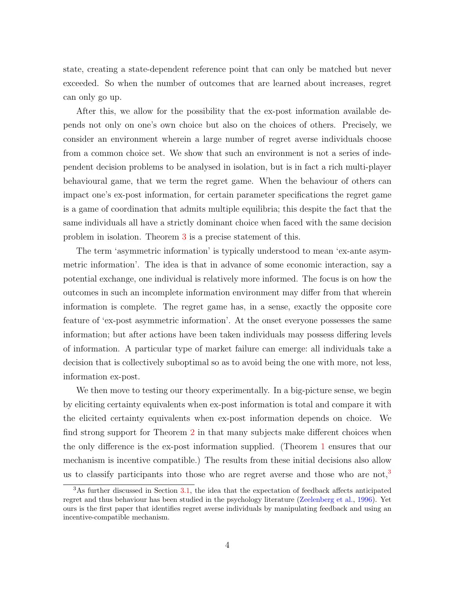state, creating a state-dependent reference point that can only be matched but never exceeded. So when the number of outcomes that are learned about increases, regret can only go up.

After this, we allow for the possibility that the ex-post information available depends not only on one's own choice but also on the choices of others. Precisely, we consider an environment wherein a large number of regret averse individuals choose from a common choice set. We show that such an environment is not a series of independent decision problems to be analysed in isolation, but is in fact a rich multi-player behavioural game, that we term the regret game. When the behaviour of others can impact one's ex-post information, for certain parameter specifications the regret game is a game of coordination that admits multiple equilibria; this despite the fact that the same individuals all have a strictly dominant choice when faced with the same decision problem in isolation. Theorem [3](#page-16-0) is a precise statement of this.

The term 'asymmetric information' is typically understood to mean 'ex-ante asymmetric information'. The idea is that in advance of some economic interaction, say a potential exchange, one individual is relatively more informed. The focus is on how the outcomes in such an incomplete information environment may differ from that wherein information is complete. The regret game has, in a sense, exactly the opposite core feature of 'ex-post asymmetric information'. At the onset everyone possesses the same information; but after actions have been taken individuals may possess differing levels of information. A particular type of market failure can emerge: all individuals take a decision that is collectively suboptimal so as to avoid being the one with more, not less, information ex-post.

We then move to testing our theory experimentally. In a big-picture sense, we begin by eliciting certainty equivalents when ex-post information is total and compare it with the elicited certainty equivalents when ex-post information depends on choice. We find strong support for Theorem [2](#page-11-0) in that many subjects make different choices when the only difference is the ex-post information supplied. (Theorem [1](#page-9-0) ensures that our mechanism is incentive compatible.) The results from these initial decisions also allow us to classify participants into those who are regret averse and those who are not,<sup>[3](#page-3-0)</sup>

<span id="page-3-0"></span><sup>3</sup>As further discussed in Section [3.1,](#page-19-0) the idea that the expectation of feedback affects anticipated regret and thus behaviour has been studied in the psychology literature [\(Zeelenberg et al.,](#page-39-0) [1996\)](#page-39-0). Yet ours is the first paper that identifies regret averse individuals by manipulating feedback and using an incentive-compatible mechanism.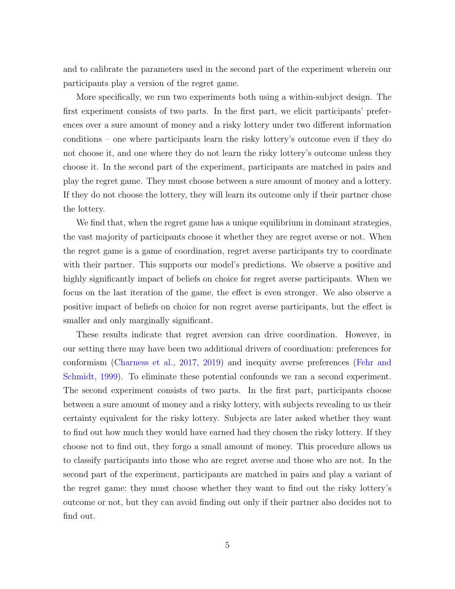and to calibrate the parameters used in the second part of the experiment wherein our participants play a version of the regret game.

More specifically, we run two experiments both using a within-subject design. The first experiment consists of two parts. In the first part, we elicit participants' preferences over a sure amount of money and a risky lottery under two different information conditions – one where participants learn the risky lottery's outcome even if they do not choose it, and one where they do not learn the risky lottery's outcome unless they choose it. In the second part of the experiment, participants are matched in pairs and play the regret game. They must choose between a sure amount of money and a lottery. If they do not choose the lottery, they will learn its outcome only if their partner chose the lottery.

We find that, when the regret game has a unique equilibrium in dominant strategies, the vast majority of participants choose it whether they are regret averse or not. When the regret game is a game of coordination, regret averse participants try to coordinate with their partner. This supports our model's predictions. We observe a positive and highly significantly impact of beliefs on choice for regret averse participants. When we focus on the last iteration of the game, the effect is even stronger. We also observe a positive impact of beliefs on choice for non regret averse participants, but the effect is smaller and only marginally significant.

These results indicate that regret aversion can drive coordination. However, in our setting there may have been two additional drivers of coordination: preferences for conformism [\(Charness et al.,](#page-38-0) [2017,](#page-38-0) [2019\)](#page-37-1) and inequity averse preferences [\(Fehr and](#page-38-1) [Schmidt,](#page-38-1) [1999\)](#page-38-1). To eliminate these potential confounds we ran a second experiment. The second experiment consists of two parts. In the first part, participants choose between a sure amount of money and a risky lottery, with subjects revealing to us their certainty equivalent for the risky lottery. Subjects are later asked whether they want to find out how much they would have earned had they chosen the risky lottery. If they choose not to find out, they forgo a small amount of money. This procedure allows us to classify participants into those who are regret averse and those who are not. In the second part of the experiment, participants are matched in pairs and play a variant of the regret game: they must choose whether they want to find out the risky lottery's outcome or not, but they can avoid finding out only if their partner also decides not to find out.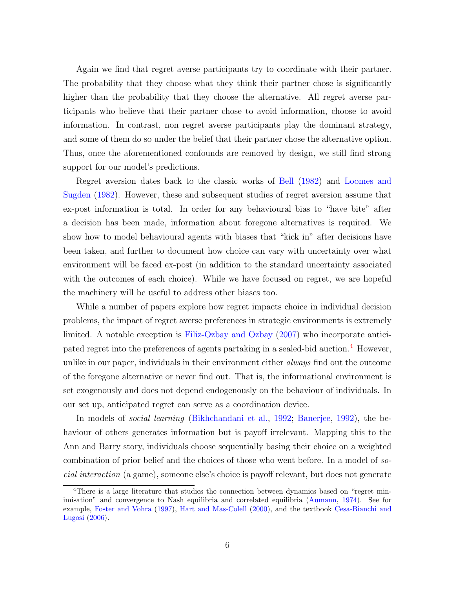Again we find that regret averse participants try to coordinate with their partner. The probability that they choose what they think their partner chose is significantly higher than the probability that they choose the alternative. All regret averse participants who believe that their partner chose to avoid information, choose to avoid information. In contrast, non regret averse participants play the dominant strategy, and some of them do so under the belief that their partner chose the alternative option. Thus, once the aforementioned confounds are removed by design, we still find strong support for our model's predictions.

Regret aversion dates back to the classic works of [Bell](#page-37-2) [\(1982\)](#page-37-2) and [Loomes and](#page-39-1) [Sugden](#page-39-1) [\(1982\)](#page-39-1). However, these and subsequent studies of regret aversion assume that ex-post information is total. In order for any behavioural bias to "have bite" after a decision has been made, information about foregone alternatives is required. We show how to model behavioural agents with biases that "kick in" after decisions have been taken, and further to document how choice can vary with uncertainty over what environment will be faced ex-post (in addition to the standard uncertainty associated with the outcomes of each choice). While we have focused on regret, we are hopeful the machinery will be useful to address other biases too.

While a number of papers explore how regret impacts choice in individual decision problems, the impact of regret averse preferences in strategic environments is extremely limited. A notable exception is [Filiz-Ozbay and Ozbay](#page-38-2) [\(2007\)](#page-38-2) who incorporate anticipated regret into the preferences of agents partaking in a sealed-bid auction.[4](#page-5-0) However, unlike in our paper, individuals in their environment either *always* find out the outcome of the foregone alternative or never find out. That is, the informational environment is set exogenously and does not depend endogenously on the behaviour of individuals. In our set up, anticipated regret can serve as a coordination device.

In models of *social learning* [\(Bikhchandani et al.,](#page-37-3) [1992;](#page-37-3) [Banerjee,](#page-37-4) [1992\)](#page-37-4), the behaviour of others generates information but is payoff irrelevant. Mapping this to the Ann and Barry story, individuals choose sequentially basing their choice on a weighted combination of prior belief and the choices of those who went before. In a model of social interaction (a game), someone else's choice is payoff relevant, but does not generate

<span id="page-5-0"></span><sup>&</sup>lt;sup>4</sup>There is a large literature that studies the connection between dynamics based on "regret minimisation" and convergence to Nash equilibria and correlated equilibria [\(Aumann,](#page-37-5) [1974\)](#page-37-5). See for example, [Foster and Vohra](#page-38-3) [\(1997\)](#page-38-3), [Hart and Mas-Colell](#page-39-2) [\(2000\)](#page-39-2), and the textbook [Cesa-Bianchi and](#page-37-6) [Lugosi](#page-37-6) [\(2006\)](#page-37-6).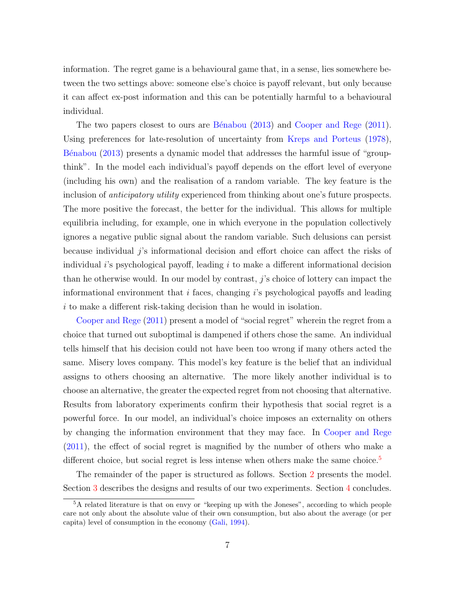information. The regret game is a behavioural game that, in a sense, lies somewhere between the two settings above: someone else's choice is payoff relevant, but only because it can affect ex-post information and this can be potentially harmful to a behavioural individual.

The two papers closest to ours are Bénabou  $(2013)$  and [Cooper and Rege](#page-38-4)  $(2011)$ . Using preferences for late-resolution of uncertainty from [Kreps and Porteus](#page-39-3) [\(1978\)](#page-39-3), Bénabou [\(2013\)](#page-37-7) presents a dynamic model that addresses the harmful issue of "groupthink". In the model each individual's payoff depends on the effort level of everyone (including his own) and the realisation of a random variable. The key feature is the inclusion of *anticipatory utility* experienced from thinking about one's future prospects. The more positive the forecast, the better for the individual. This allows for multiple equilibria including, for example, one in which everyone in the population collectively ignores a negative public signal about the random variable. Such delusions can persist because individual j's informational decision and effort choice can affect the risks of individual  $i$ 's psychological payoff, leading  $i$  to make a different informational decision than he otherwise would. In our model by contrast, j's choice of lottery can impact the informational environment that  $i$  faces, changing  $i$ 's psychological payoffs and leading i to make a different risk-taking decision than he would in isolation.

[Cooper and Rege](#page-38-4) [\(2011\)](#page-38-4) present a model of "social regret" wherein the regret from a choice that turned out suboptimal is dampened if others chose the same. An individual tells himself that his decision could not have been too wrong if many others acted the same. Misery loves company. This model's key feature is the belief that an individual assigns to others choosing an alternative. The more likely another individual is to choose an alternative, the greater the expected regret from not choosing that alternative. Results from laboratory experiments confirm their hypothesis that social regret is a powerful force. In our model, an individual's choice imposes an externality on others by changing the information environment that they may face. In [Cooper and Rege](#page-38-4) [\(2011\)](#page-38-4), the effect of social regret is magnified by the number of others who make a different choice, but social regret is less intense when others make the same choice.<sup>[5](#page-6-0)</sup>

The remainder of the paper is structured as follows. Section [2](#page-7-0) presents the model. Section [3](#page-18-0) describes the designs and results of our two experiments. Section [4](#page-34-0) concludes.

<span id="page-6-0"></span><sup>&</sup>lt;sup>5</sup>A related literature is that on envy or "keeping up with the Joneses", according to which people care not only about the absolute value of their own consumption, but also about the average (or per capita) level of consumption in the economy [\(Gali,](#page-38-5) [1994\)](#page-38-5).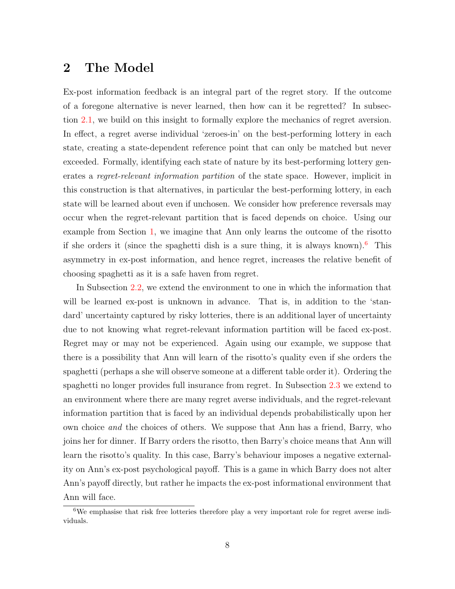# <span id="page-7-0"></span>2 The Model

Ex-post information feedback is an integral part of the regret story. If the outcome of a foregone alternative is never learned, then how can it be regretted? In subsection [2.1,](#page-8-0) we build on this insight to formally explore the mechanics of regret aversion. In effect, a regret averse individual 'zeroes-in' on the best-performing lottery in each state, creating a state-dependent reference point that can only be matched but never exceeded. Formally, identifying each state of nature by its best-performing lottery generates a regret-relevant information partition of the state space. However, implicit in this construction is that alternatives, in particular the best-performing lottery, in each state will be learned about even if unchosen. We consider how preference reversals may occur when the regret-relevant partition that is faced depends on choice. Using our example from Section [1,](#page-1-0) we imagine that Ann only learns the outcome of the risotto if she orders it (since the spaghetti dish is a sure thing, it is always known).<sup>[6](#page-7-1)</sup> This asymmetry in ex-post information, and hence regret, increases the relative benefit of choosing spaghetti as it is a safe haven from regret.

In Subsection [2.2,](#page-12-0) we extend the environment to one in which the information that will be learned ex-post is unknown in advance. That is, in addition to the 'standard' uncertainty captured by risky lotteries, there is an additional layer of uncertainty due to not knowing what regret-relevant information partition will be faced ex-post. Regret may or may not be experienced. Again using our example, we suppose that there is a possibility that Ann will learn of the risotto's quality even if she orders the spaghetti (perhaps a she will observe someone at a different table order it). Ordering the spaghetti no longer provides full insurance from regret. In Subsection [2.3](#page-15-0) we extend to an environment where there are many regret averse individuals, and the regret-relevant information partition that is faced by an individual depends probabilistically upon her own choice and the choices of others. We suppose that Ann has a friend, Barry, who joins her for dinner. If Barry orders the risotto, then Barry's choice means that Ann will learn the risotto's quality. In this case, Barry's behaviour imposes a negative externality on Ann's ex-post psychological payoff. This is a game in which Barry does not alter Ann's payoff directly, but rather he impacts the ex-post informational environment that Ann will face.

<span id="page-7-1"></span><sup>&</sup>lt;sup>6</sup>We emphasise that risk free lotteries therefore play a very important role for regret averse individuals.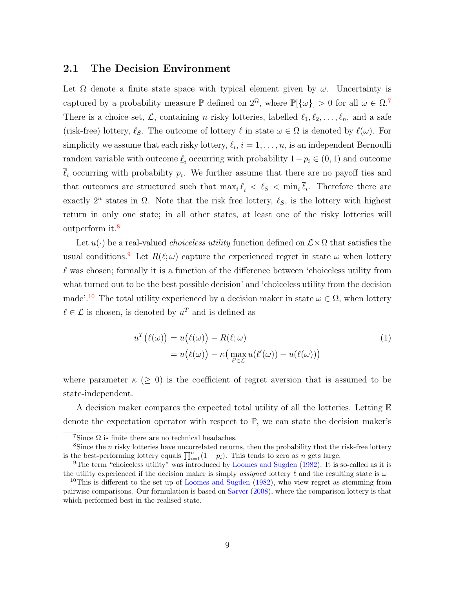## <span id="page-8-0"></span>2.1 The Decision Environment

Let  $\Omega$  denote a finite state space with typical element given by  $\omega$ . Uncertainty is captured by a probability measure  $\mathbb{P}$  defined on  $2^{\Omega}$ , where  $\mathbb{P}[\{\omega\}] > 0$  for all  $\omega \in \Omega$ . There is a choice set,  $\mathcal{L}$ , containing n risky lotteries, labelled  $\ell_1, \ell_2, \ldots, \ell_n$ , and a safe (risk-free) lottery,  $\ell_S$ . The outcome of lottery  $\ell$  in state  $\omega \in \Omega$  is denoted by  $\ell(\omega)$ . For simplicity we assume that each risky lottery,  $\ell_i$ ,  $i = 1, \ldots, n$ , is an independent Bernoulli random variable with outcome  $\underline{\ell}_i$  occurring with probability  $1-p_i \in (0,1)$  and outcome  $\ell_i$  occurring with probability  $p_i$ . We further assume that there are no payoff ties and that outcomes are structured such that  $\max_i \underline{\ell}_i < \ell_s < \min_i \ell_i$ . Therefore there are exactly  $2^n$  states in  $\Omega$ . Note that the risk free lottery,  $\ell_S$ , is the lottery with highest return in only one state; in all other states, at least one of the risky lotteries will outperform it.[8](#page-8-2)

Let  $u(\cdot)$  be a real-valued *choiceless utility* function defined on  $\mathcal{L} \times \Omega$  that satisfies the usual conditions.<sup>[9](#page-8-3)</sup> Let  $R(\ell;\omega)$  capture the experienced regret in state  $\omega$  when lottery  $\ell$  was chosen; formally it is a function of the difference between 'choiceless utility from what turned out to be the best possible decision' and 'choiceless utility from the decision made'.<sup>[10](#page-8-4)</sup> The total utility experienced by a decision maker in state  $\omega \in \Omega$ , when lottery  $\ell \in \mathcal{L}$  is chosen, is denoted by  $u^T$  and is defined as

$$
u^T(\ell(\omega)) = u(\ell(\omega)) - R(\ell; \omega)
$$
  
=  $u(\ell(\omega)) - \kappa \left( \max_{\ell' \in \mathcal{L}} u(\ell'(\omega)) - u(\ell(\omega)) \right)$  (1)

where parameter  $\kappa$  ( $\geq$  0) is the coefficient of regret aversion that is assumed to be state-independent.

A decision maker compares the expected total utility of all the lotteries. Letting E denote the expectation operator with respect to  $\mathbb{P}$ , we can state the decision maker's

<span id="page-8-2"></span><span id="page-8-1"></span><sup>&</sup>lt;sup>7</sup>Since  $\Omega$  is finite there are no technical headaches.

<sup>&</sup>lt;sup>8</sup>Since the *n* risky lotteries have uncorrelated returns, then the probability that the risk-free lottery is the best-performing lottery equals  $\prod_{i=1}^{n}(1-p_i)$ . This tends to zero as n gets large.

<span id="page-8-3"></span><sup>9</sup>The term "choiceless utility" was introduced by [Loomes and Sugden](#page-39-1) [\(1982\)](#page-39-1). It is so-called as it is the utility experienced if the decision maker is simply *assigned* lottery  $\ell$  and the resulting state is  $\omega$ 

<span id="page-8-4"></span> $10$ This is different to the set up of [Loomes and Sugden](#page-39-1) [\(1982\)](#page-39-1), who view regret as stemming from pairwise comparisons. Our formulation is based on [Sarver](#page-39-4) [\(2008\)](#page-39-4), where the comparison lottery is that which performed best in the realised state.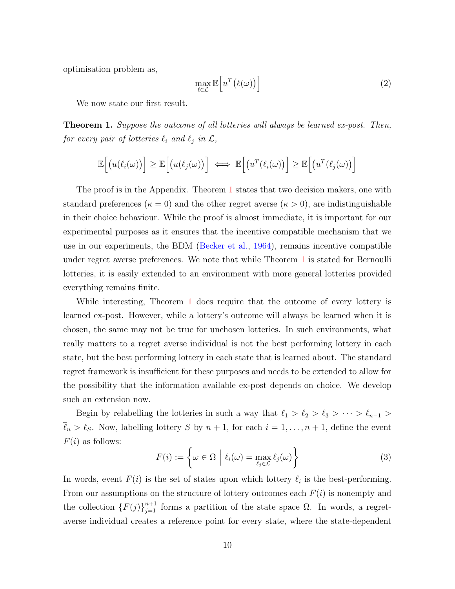optimisation problem as,

$$
\max_{\ell \in \mathcal{L}} \mathbb{E}\Big[u^T\big(\ell(\omega)\big)\Big] \tag{2}
$$

We now state our first result.

<span id="page-9-0"></span>**Theorem 1.** Suppose the outcome of all lotteries will always be learned ex-post. Then, for every pair of lotteries  $\ell_i$  and  $\ell_j$  in  $\mathcal{L},$ 

$$
\mathbb{E}\Big[\big(u(\ell_i(\omega)\big)\Big] \geq \mathbb{E}\Big[\big(u(\ell_j(\omega)\big)\Big] \iff \mathbb{E}\Big[\big(u^T(\ell_i(\omega)\big)\Big] \geq \mathbb{E}\Big[\big(u^T(\ell_j(\omega)\big)\Big]
$$

The proof is in the Appendix. Theorem [1](#page-9-0) states that two decision makers, one with standard preferences ( $\kappa = 0$ ) and the other regret averse ( $\kappa > 0$ ), are indistinguishable in their choice behaviour. While the proof is almost immediate, it is important for our experimental purposes as it ensures that the incentive compatible mechanism that we use in our experiments, the BDM [\(Becker et al.,](#page-37-8) [1964\)](#page-37-8), remains incentive compatible under regret averse preferences. We note that while Theorem [1](#page-9-0) is stated for Bernoulli lotteries, it is easily extended to an environment with more general lotteries provided everything remains finite.

While interesting, Theorem [1](#page-9-0) does require that the outcome of every lottery is learned ex-post. However, while a lottery's outcome will always be learned when it is chosen, the same may not be true for unchosen lotteries. In such environments, what really matters to a regret averse individual is not the best performing lottery in each state, but the best performing lottery in each state that is learned about. The standard regret framework is insufficient for these purposes and needs to be extended to allow for the possibility that the information available ex-post depends on choice. We develop such an extension now.

Begin by relabelling the lotteries in such a way that  $\bar{\ell}_1 > \bar{\ell}_2 > \bar{\ell}_3 > \cdots > \bar{\ell}_{n-1} >$  $\overline{\ell}_n > \ell_S$ . Now, labelling lottery S by  $n + 1$ , for each  $i = 1, \ldots, n + 1$ , define the event  $F(i)$  as follows:

<span id="page-9-1"></span>
$$
F(i) := \left\{ \omega \in \Omega \mid \ell_i(\omega) = \max_{\ell_j \in \mathcal{L}} \ell_j(\omega) \right\}
$$
 (3)

In words, event  $F(i)$  is the set of states upon which lottery  $\ell_i$  is the best-performing. From our assumptions on the structure of lottery outcomes each  $F(i)$  is nonempty and the collection  $\{F(j)\}_{j=1}^{n+1}$  forms a partition of the state space  $\Omega$ . In words, a regretaverse individual creates a reference point for every state, where the state-dependent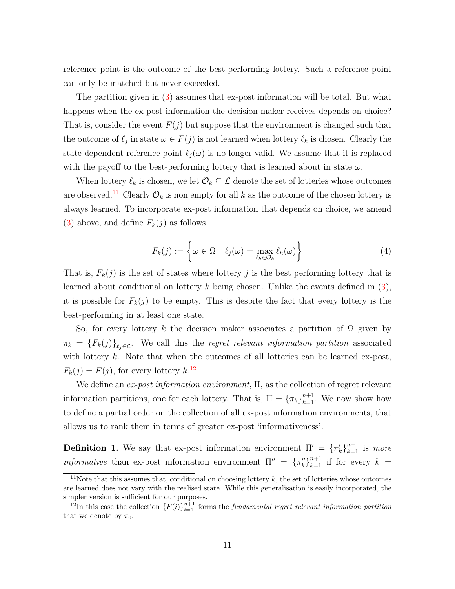reference point is the outcome of the best-performing lottery. Such a reference point can only be matched but never exceeded.

The partition given in [\(3\)](#page-9-1) assumes that ex-post information will be total. But what happens when the ex-post information the decision maker receives depends on choice? That is, consider the event  $F(j)$  but suppose that the environment is changed such that the outcome of  $\ell_j$  in state  $\omega \in F(j)$  is not learned when lottery  $\ell_k$  is chosen. Clearly the state dependent reference point  $\ell_i(\omega)$  is no longer valid. We assume that it is replaced with the payoff to the best-performing lottery that is learned about in state  $\omega$ .

When lottery  $\ell_k$  is chosen, we let  $\mathcal{O}_k \subseteq \mathcal{L}$  denote the set of lotteries whose outcomes are observed.<sup>[11](#page-10-0)</sup> Clearly  $\mathcal{O}_k$  is non empty for all k as the outcome of the chosen lottery is always learned. To incorporate ex-post information that depends on choice, we amend [\(3\)](#page-9-1) above, and define  $F_k(j)$  as follows.

$$
F_k(j) := \left\{ \omega \in \Omega \mid \ell_j(\omega) = \max_{\ell_h \in \mathcal{O}_k} \ell_h(\omega) \right\}
$$
 (4)

That is,  $F_k(j)$  is the set of states where lottery j is the best performing lottery that is learned about conditional on lottery  $k$  being chosen. Unlike the events defined in  $(3)$ , it is possible for  $F_k(j)$  to be empty. This is despite the fact that every lottery is the best-performing in at least one state.

So, for every lottery k the decision maker associates a partition of  $\Omega$  given by  $\pi_k = \{F_k(j)\}_{\ell_j \in \mathcal{L}}$ . We call this the regret relevant information partition associated with lottery  $k$ . Note that when the outcomes of all lotteries can be learned ex-post,  $F_k(j) = F(j)$ , for every lottery  $k^{12}$  $k^{12}$  $k^{12}$ 

We define an ex-post information environment, Π, as the collection of regret relevant information partitions, one for each lottery. That is,  $\Pi = {\pi_k}_{k=1}^{n+1}$ . We now show how to define a partial order on the collection of all ex-post information environments, that allows us to rank them in terms of greater ex-post 'informativeness'.

<span id="page-10-2"></span>**Definition 1.** We say that ex-post information environment  $\Pi' = {\{\pi_k'\}}_{k=1}^{n+1}$  is more *informative* than ex-post information environment  $\Pi'' = {\{\pi_k''\}}_{k=1}^{n+1}$  if for every  $k =$ 

<span id="page-10-0"></span><sup>&</sup>lt;sup>11</sup>Note that this assumes that, conditional on choosing lottery  $k$ , the set of lotteries whose outcomes are learned does not vary with the realised state. While this generalisation is easily incorporated, the simpler version is sufficient for our purposes.

<span id="page-10-1"></span><sup>&</sup>lt;sup>12</sup>In this case the collection  ${F(i)}_{i=1}^{n+1}$  forms the *fundamental regret relevant information partition* that we denote by  $\pi_0$ .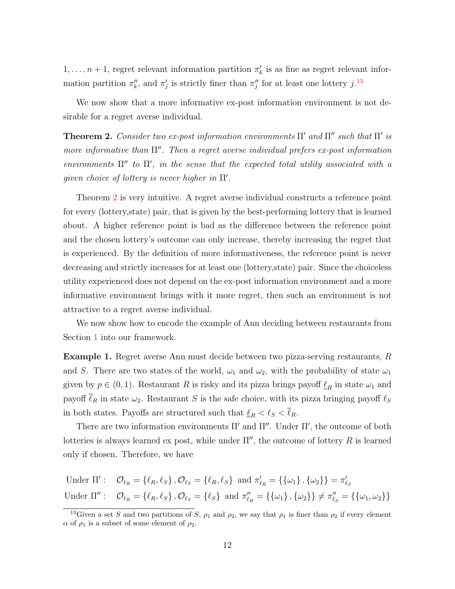$1, \ldots, n+1$ , regret relevant information partition  $\pi'_{k}$  is as fine as regret relevant information partition  $\pi_k''$ , and  $\pi_j'$  is strictly finer than  $\pi_j''$  for at least one lottery j.<sup>[13](#page-11-1)</sup>

We now show that a more informative ex-post information environment is not desirable for a regret averse individual.

<span id="page-11-0"></span>**Theorem 2.** Consider two ex-post information environments  $\Pi'$  and  $\Pi''$  such that  $\Pi'$  is more informative than  $\Pi''$ . Then a regret averse individual prefers ex-post information environments  $\Pi''$  to  $\Pi'$ , in the sense that the expected total utility associated with a given choice of lottery is never higher in  $\Pi'$ .

Theorem [2](#page-11-0) is very intuitive. A regret averse individual constructs a reference point for every (lottery,state) pair, that is given by the best-performing lottery that is learned about. A higher reference point is bad as the difference between the reference point and the chosen lottery's outcome can only increase, thereby increasing the regret that is experienced. By the definition of more informativeness, the reference point is never decreasing and strictly increases for at least one (lottery,state) pair. Since the choiceless utility experienced does not depend on the ex-post information environment and a more informative environment brings with it more regret, then such an environment is not attractive to a regret averse individual.

We now show how to encode the example of Ann deciding between restaurants from Section [1](#page-1-0) into our framework.

Example 1. Regret averse Ann must decide between two pizza-serving restaurants, R and S. There are two states of the world,  $\omega_1$  and  $\omega_2$ , with the probability of state  $\omega_1$ given by  $p \in (0, 1)$ . Restaurant R is risky and its pizza brings payoff  $\underline{\ell}_R$  in state  $\omega_1$  and payoff  $\overline{\ell}_R$  in state  $\omega_2$ . Restaurant S is the safe choice, with its pizza bringing payoff  $\ell_S$ in both states. Payoffs are structured such that  $\ell_R < \ell_S < \ell_R$ .

There are two information environments  $\Pi'$  and  $\Pi''$ . Under  $\Pi'$ , the outcome of both lotteries is always learned ex post, while under  $\Pi''$ , the outcome of lottery R is learned only if chosen. Therefore, we have

Under 
$$
\Pi'
$$
:  $\mathcal{O}_{\ell_R} = \{\ell_R, \ell_S\}, \mathcal{O}_{\ell_S} = \{\ell_R, \ell_S\}$  and  $\pi'_{\ell_R} = \{\{\omega_1\}, \{\omega_2\}\} = \pi'_{\ell_S}$   
Under  $\Pi''$ :  $\mathcal{O}_{\ell_R} = \{\ell_R, \ell_S\}, \mathcal{O}_{\ell_S} = \{\ell_S\}$  and  $\pi''_{\ell_R} = \{\{\omega_1\}, \{\omega_2\}\} \neq \pi''_{\ell_S} = \{\{\omega_1, \omega_2\}\}$ 

<span id="page-11-1"></span><sup>&</sup>lt;sup>13</sup>Given a set S and two partitions of S,  $\rho_1$  and  $\rho_2$ , we say that  $\rho_1$  is finer than  $\rho_2$  if every element  $\alpha$  of  $\rho_1$  is a subset of some element of  $\rho_2$ .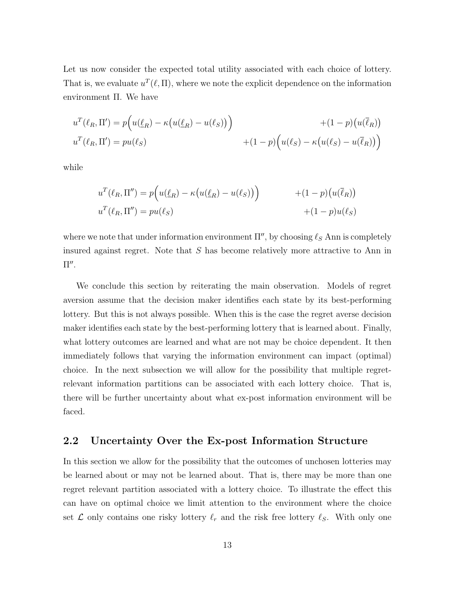Let us now consider the expected total utility associated with each choice of lottery. That is, we evaluate  $u^T(\ell, \Pi)$ , where we note the explicit dependence on the information environment Π. We have

$$
u^{T}(\ell_{R}, \Pi') = p(u(\ell_{R}) - \kappa(u(\ell_{R}) - u(\ell_{S}))) + (1 - p)(u(\overline{\ell}_{R}))
$$
  

$$
u^{T}(\ell_{R}, \Pi') = pu(\ell_{S}) + (1 - p)(u(\ell_{S}) - \kappa(u(\ell_{S}) - u(\overline{\ell}_{R})))
$$

while

$$
u^{T}(\ell_{R}, \Pi'') = p(u(\ell_{R}) - \kappa(u(\ell_{R}) - u(\ell_{S})) + (1 - p)(u(\overline{\ell}_{R}))
$$
  

$$
u^{T}(\ell_{R}, \Pi'') = pu(\ell_{S}) + (1 - p)u(\ell_{S})
$$

where we note that under information environment  $\Pi''$ , by choosing  $\ell_S$  Ann is completely insured against regret. Note that S has become relatively more attractive to Ann in  $\Pi''$ .

We conclude this section by reiterating the main observation. Models of regret aversion assume that the decision maker identifies each state by its best-performing lottery. But this is not always possible. When this is the case the regret averse decision maker identifies each state by the best-performing lottery that is learned about. Finally, what lottery outcomes are learned and what are not may be choice dependent. It then immediately follows that varying the information environment can impact (optimal) choice. In the next subsection we will allow for the possibility that multiple regretrelevant information partitions can be associated with each lottery choice. That is, there will be further uncertainty about what ex-post information environment will be faced.

## <span id="page-12-0"></span>2.2 Uncertainty Over the Ex-post Information Structure

In this section we allow for the possibility that the outcomes of unchosen lotteries may be learned about or may not be learned about. That is, there may be more than one regret relevant partition associated with a lottery choice. To illustrate the effect this can have on optimal choice we limit attention to the environment where the choice set  $\mathcal L$  only contains one risky lottery  $\ell_r$  and the risk free lottery  $\ell_s$ . With only one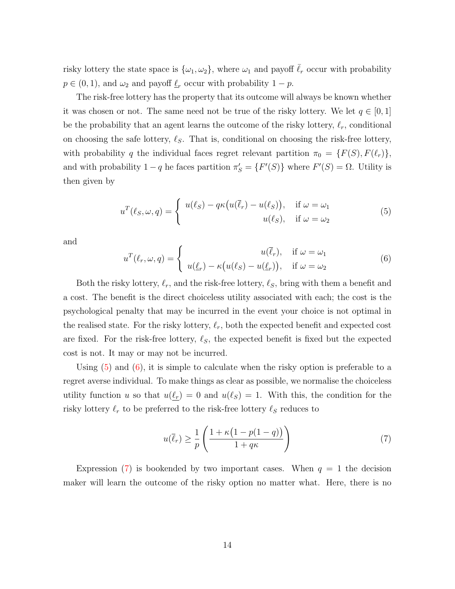risky lottery the state space is  $\{\omega_1, \omega_2\}$ , where  $\omega_1$  and payoff  $\overline{\ell}_r$  occur with probability  $p \in (0, 1)$ , and  $\omega_2$  and payoff  $\mathcal{L}_r$  occur with probability  $1 - p$ .

The risk-free lottery has the property that its outcome will always be known whether it was chosen or not. The same need not be true of the risky lottery. We let  $q \in [0,1]$ be the probability that an agent learns the outcome of the risky lottery,  $\ell_r$ , conditional on choosing the safe lottery,  $\ell_S$ . That is, conditional on choosing the risk-free lottery, with probability q the individual faces regret relevant partition  $\pi_0 = \{F(S), F(\ell_r)\},\$ and with probability  $1-q$  he faces partition  $\pi'_{S} = \{F'(S)\}\$  where  $F'(S) = \Omega$ . Utility is then given by

<span id="page-13-0"></span>
$$
u^T(\ell_S, \omega, q) = \begin{cases} u(\ell_S) - q\kappa(u(\bar{\ell}_r) - u(\ell_S)), & \text{if } \omega = \omega_1 \\ u(\ell_S), & \text{if } \omega = \omega_2 \end{cases}
$$
(5)

and

<span id="page-13-1"></span>
$$
u^T(\ell_r, \omega, q) = \begin{cases} u(\bar{\ell}_r), & \text{if } \omega = \omega_1 \\ u(\underline{\ell}_r) - \kappa \big( u(\ell_S) - u(\underline{\ell}_r) \big), & \text{if } \omega = \omega_2 \end{cases}
$$
(6)

Both the risky lottery,  $\ell_r$ , and the risk-free lottery,  $\ell_s$ , bring with them a benefit and a cost. The benefit is the direct choiceless utility associated with each; the cost is the psychological penalty that may be incurred in the event your choice is not optimal in the realised state. For the risky lottery,  $\ell_r$ , both the expected benefit and expected cost are fixed. For the risk-free lottery,  $\ell_S$ , the expected benefit is fixed but the expected cost is not. It may or may not be incurred.

Using  $(5)$  and  $(6)$ , it is simple to calculate when the risky option is preferable to a regret averse individual. To make things as clear as possible, we normalise the choiceless utility function u so that  $u(\ell_r) = 0$  and  $u(\ell_s) = 1$ . With this, the condition for the risky lottery  $\ell_r$  to be preferred to the risk-free lottery  $\ell_s$  reduces to

<span id="page-13-2"></span>
$$
u(\overline{\ell}_r) \ge \frac{1}{p} \left( \frac{1 + \kappa \left( 1 - p(1 - q) \right)}{1 + q\kappa} \right) \tag{7}
$$

Expression [\(7\)](#page-13-2) is bookended by two important cases. When  $q = 1$  the decision maker will learn the outcome of the risky option no matter what. Here, there is no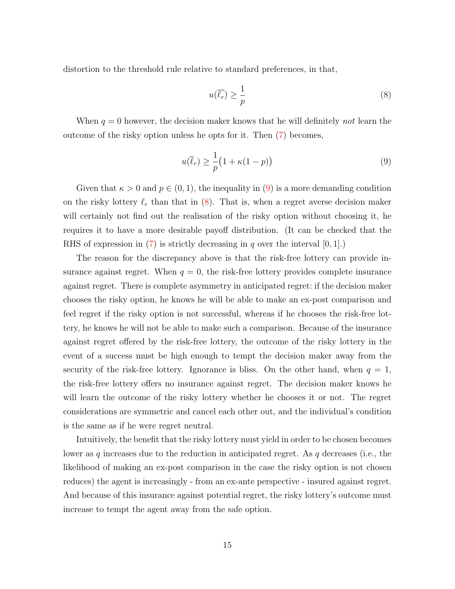distortion to the threshold rule relative to standard preferences, in that,

<span id="page-14-1"></span>
$$
u(\overline{\ell_r}) \ge \frac{1}{p} \tag{8}
$$

When  $q = 0$  however, the decision maker knows that he will definitely not learn the outcome of the risky option unless he opts for it. Then [\(7\)](#page-13-2) becomes,

<span id="page-14-0"></span>
$$
u(\overline{\ell}_r) \ge \frac{1}{p} \big( 1 + \kappa (1 - p) \big) \tag{9}
$$

Given that  $\kappa > 0$  and  $p \in (0, 1)$ , the inequality in [\(9\)](#page-14-0) is a more demanding condition on the risky lottery  $\ell_r$  than that in  $(8)$ . That is, when a regret averse decision maker will certainly not find out the realisation of the risky option without choosing it, he requires it to have a more desirable payoff distribution. (It can be checked that the RHS of expression in [\(7\)](#page-13-2) is strictly decreasing in q over the interval  $[0, 1]$ .

The reason for the discrepancy above is that the risk-free lottery can provide insurance against regret. When  $q = 0$ , the risk-free lottery provides complete insurance against regret. There is complete asymmetry in anticipated regret: if the decision maker chooses the risky option, he knows he will be able to make an ex-post comparison and feel regret if the risky option is not successful, whereas if he chooses the risk-free lottery, he knows he will not be able to make such a comparison. Because of the insurance against regret offered by the risk-free lottery, the outcome of the risky lottery in the event of a success must be high enough to tempt the decision maker away from the security of the risk-free lottery. Ignorance is bliss. On the other hand, when  $q = 1$ , the risk-free lottery offers no insurance against regret. The decision maker knows he will learn the outcome of the risky lottery whether he chooses it or not. The regret considerations are symmetric and cancel each other out, and the individual's condition is the same as if he were regret neutral.

Intuitively, the benefit that the risky lottery must yield in order to be chosen becomes lower as q increases due to the reduction in anticipated regret. As  $q$  decreases (i.e., the likelihood of making an ex-post comparison in the case the risky option is not chosen reduces) the agent is increasingly - from an ex-ante perspective - insured against regret. And because of this insurance against potential regret, the risky lottery's outcome must increase to tempt the agent away from the safe option.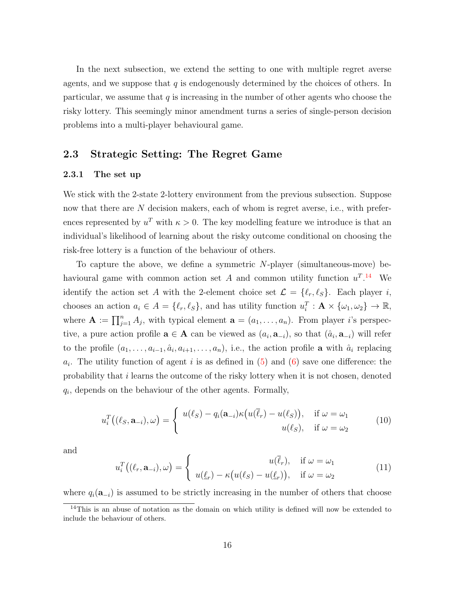In the next subsection, we extend the setting to one with multiple regret averse agents, and we suppose that  $q$  is endogenously determined by the choices of others. In particular, we assume that  $q$  is increasing in the number of other agents who choose the risky lottery. This seemingly minor amendment turns a series of single-person decision problems into a multi-player behavioural game.

## <span id="page-15-0"></span>2.3 Strategic Setting: The Regret Game

#### 2.3.1 The set up

We stick with the 2-state 2-lottery environment from the previous subsection. Suppose now that there are N decision makers, each of whom is regret averse, i.e., with preferences represented by  $u^T$  with  $\kappa > 0$ . The key modelling feature we introduce is that an individual's likelihood of learning about the risky outcome conditional on choosing the risk-free lottery is a function of the behaviour of others.

To capture the above, we define a symmetric  $N$ -player (simultaneous-move) behavioural game with common action set A and common utility function  $u^T$ .<sup>[14](#page-15-1)</sup> We identify the action set A with the 2-element choice set  $\mathcal{L} = \{ \ell_r, \ell_S \}$ . Each player i, chooses an action  $a_i \in A = \{\ell_r, \ell_S\}$ , and has utility function  $u_i^T : \mathbf{A} \times {\omega_1, \omega_2} \to \mathbb{R}$ , where  $\mathbf{A} := \prod_{j=1}^n A_j$ , with typical element  $\mathbf{a} = (a_1, \ldots, a_n)$ . From player *i*'s perspective, a pure action profile  $\mathbf{a} \in \mathbf{A}$  can be viewed as  $(a_i, \mathbf{a}_{-i})$ , so that  $(\hat{a}_i, \mathbf{a}_{-i})$  will refer to the profile  $(a_1, \ldots, a_{i-1}, \hat{a}_i, a_{i+1}, \ldots, a_n)$ , i.e., the action profile **a** with  $\hat{a}_i$  replacing  $a_i$ . The utility function of agent i is as defined in [\(5\)](#page-13-0) and [\(6\)](#page-13-1) save one difference: the probability that i learns the outcome of the risky lottery when it is not chosen, denoted  $q_i$ , depends on the behaviour of the other agents. Formally,

<span id="page-15-2"></span>
$$
u_i^T((\ell_S, \mathbf{a}_{-i}), \omega) = \begin{cases} u(\ell_S) - q_i(\mathbf{a}_{-i})\kappa(u(\overline{\ell}_r) - u(\ell_S)), & \text{if } \omega = \omega_1 \\ u(\ell_S), & \text{if } \omega = \omega_2 \end{cases}
$$
(10)

and

<span id="page-15-3"></span>
$$
u_i^T((\ell_r, \mathbf{a}_{-i}), \omega) = \begin{cases} u(\bar{\ell}_r), & \text{if } \omega = \omega_1 \\ u(\underline{\ell}_r) - \kappa(u(\ell_s) - u(\underline{\ell}_r)), & \text{if } \omega = \omega_2 \end{cases}
$$
(11)

where  $q_i(\mathbf{a}_{-i})$  is assumed to be strictly increasing in the number of others that choose

<span id="page-15-1"></span><sup>&</sup>lt;sup>14</sup>This is an abuse of notation as the domain on which utility is defined will now be extended to include the behaviour of others.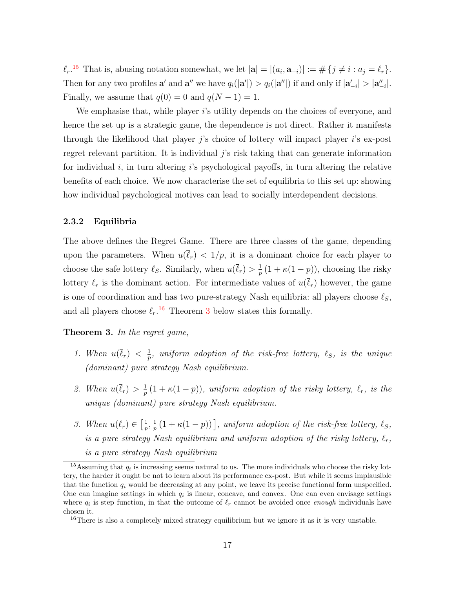$\ell_r$ .<sup>[15](#page-16-1)</sup> That is, abusing notation somewhat, we let  $|\mathbf{a}| = |(a_i, \mathbf{a}_{-i})| := \#\{j \neq i : a_j = \ell_r\}.$ Then for any two profiles  $\mathbf{a}'$  and  $\mathbf{a}''$  we have  $q_i(|\mathbf{a}'|) > q_i(|\mathbf{a}''|)$  if and only if  $|\mathbf{a}'_{-i}| > |\mathbf{a}''_{-i}|$ . Finally, we assume that  $q(0) = 0$  and  $q(N - 1) = 1$ .

We emphasise that, while player is utility depends on the choices of everyone, and hence the set up is a strategic game, the dependence is not direct. Rather it manifests through the likelihood that player j's choice of lottery will impact player i's ex-post regret relevant partition. It is individual  $j$ 's risk taking that can generate information for individual  $i$ , in turn altering is psychological payoffs, in turn altering the relative benefits of each choice. We now characterise the set of equilibria to this set up: showing how individual psychological motives can lead to socially interdependent decisions.

#### 2.3.2 Equilibria

The above defines the Regret Game. There are three classes of the game, depending upon the parameters. When  $u(\overline{\ell}_r) < 1/p$ , it is a dominant choice for each player to choose the safe lottery  $\ell_S$ . Similarly, when  $u(\bar{\ell}_r) > \frac{1}{n}$  $\frac{1}{p}(1 + \kappa(1-p))$ , choosing the risky lottery  $\ell_r$  is the dominant action. For intermediate values of  $u(\overline{\ell}_r)$  however, the game is one of coordination and has two pure-strategy Nash equilibria: all players choose  $\ell_S$ , and all players choose  $\ell_r$ .<sup>[16](#page-16-2)</sup> Theorem [3](#page-16-0) below states this formally.

<span id="page-16-4"></span><span id="page-16-0"></span>Theorem 3. In the regret game,

- 1. When  $u(\overline{\ell}_r) < \frac{1}{n}$  $\frac{1}{p}$ , uniform adoption of the risk-free lottery,  $\ell_S$ , is the unique (dominant) pure strategy Nash equilibrium.
- <span id="page-16-5"></span>2. When  $u(\overline{\ell}_r) > \frac{1}{n}$  $\frac{1}{p}(1 + \kappa(1-p)),$  uniform adoption of the risky lottery,  $\ell_r$ , is the unique (dominant) pure strategy Nash equilibrium.
- <span id="page-16-3"></span>3. When  $u(\overline{\ell}_r) \in \left[\frac{1}{n}\right]$  $\frac{1}{p},\frac{1}{p}$  $\frac{1}{p}(1 + \kappa(1-p))$ , uniform adoption of the risk-free lottery,  $\ell_S$ , is a pure strategy Nash equilibrium and uniform adoption of the risky lottery,  $\ell_r$ , is a pure strategy Nash equilibrium

<span id="page-16-1"></span><sup>&</sup>lt;sup>15</sup>Assuming that  $q_i$  is increasing seems natural to us. The more individuals who choose the risky lottery, the harder it ought be not to learn about its performance ex-post. But while it seems implausible that the function  $q_i$  would be decreasing at any point, we leave its precise functional form unspecified. One can imagine settings in which  $q_i$  is linear, concave, and convex. One can even envisage settings where  $q_i$  is step function, in that the outcome of  $\ell_r$  cannot be avoided once enough individuals have chosen it.

<span id="page-16-2"></span><sup>&</sup>lt;sup>16</sup>There is also a completely mixed strategy equilibrium but we ignore it as it is very unstable.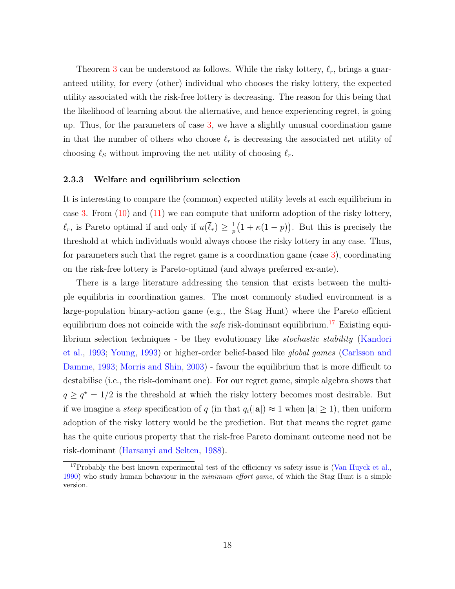Theorem [3](#page-16-0) can be understood as follows. While the risky lottery,  $\ell_r$ , brings a guaranteed utility, for every (other) individual who chooses the risky lottery, the expected utility associated with the risk-free lottery is decreasing. The reason for this being that the likelihood of learning about the alternative, and hence experiencing regret, is going up. Thus, for the parameters of case [3,](#page-16-3) we have a slightly unusual coordination game in that the number of others who choose  $\ell_r$  is decreasing the associated net utility of choosing  $\ell_S$  without improving the net utility of choosing  $\ell_r$ .

### 2.3.3 Welfare and equilibrium selection

It is interesting to compare the (common) expected utility levels at each equilibrium in case [3.](#page-16-3) From  $(10)$  and  $(11)$  we can compute that uniform adoption of the risky lottery,  $\ell_r$ , is Pareto optimal if and only if  $u(\overline{\ell}_r) \geq \frac{1}{n}$  $\frac{1}{p}(1 + \kappa(1-p)).$  But this is precisely the threshold at which individuals would always choose the risky lottery in any case. Thus, for parameters such that the regret game is a coordination game (case [3\)](#page-16-3), coordinating on the risk-free lottery is Pareto-optimal (and always preferred ex-ante).

There is a large literature addressing the tension that exists between the multiple equilibria in coordination games. The most commonly studied environment is a large-population binary-action game (e.g., the Stag Hunt) where the Pareto efficient equilibrium does not coincide with the *safe* risk-dominant equilibrium.<sup>[17](#page-17-0)</sup> Existing equilibrium selection techniques - be they evolutionary like stochastic stability [\(Kandori](#page-39-5) [et al.,](#page-39-5) [1993;](#page-39-5) [Young,](#page-39-6) [1993\)](#page-39-6) or higher-order belief-based like global games [\(Carlsson and](#page-37-9) [Damme,](#page-37-9) [1993;](#page-37-9) [Morris and Shin,](#page-39-7) [2003\)](#page-39-7) - favour the equilibrium that is more difficult to destabilise (i.e., the risk-dominant one). For our regret game, simple algebra shows that  $q \geq q^* = 1/2$  is the threshold at which the risky lottery becomes most desirable. But if we imagine a *steep* specification of q (in that  $q_i(|\mathbf{a}|) \approx 1$  when  $|\mathbf{a}| \geq 1$ ), then uniform adoption of the risky lottery would be the prediction. But that means the regret game has the quite curious property that the risk-free Pareto dominant outcome need not be risk-dominant [\(Harsanyi and Selten,](#page-38-6) [1988\)](#page-38-6).

<span id="page-17-0"></span><sup>&</sup>lt;sup>17</sup>Probably the best known experimental test of the efficiency vs safety issue is [\(Van Huyck et al.,](#page-39-8) [1990\)](#page-39-8) who study human behaviour in the *minimum effort game*, of which the Stag Hunt is a simple version.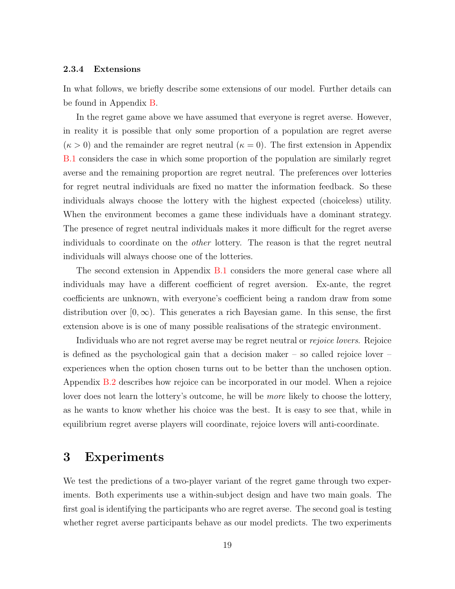## 2.3.4 Extensions

In what follows, we briefly describe some extensions of our model. Further details can be found in Appendix [B.](#page-41-0)

In the regret game above we have assumed that everyone is regret averse. However, in reality it is possible that only some proportion of a population are regret averse  $(\kappa > 0)$  and the remainder are regret neutral  $(\kappa = 0)$ . The first extension in Appendix [B.1](#page-41-1) considers the case in which some proportion of the population are similarly regret averse and the remaining proportion are regret neutral. The preferences over lotteries for regret neutral individuals are fixed no matter the information feedback. So these individuals always choose the lottery with the highest expected (choiceless) utility. When the environment becomes a game these individuals have a dominant strategy. The presence of regret neutral individuals makes it more difficult for the regret averse individuals to coordinate on the other lottery. The reason is that the regret neutral individuals will always choose one of the lotteries.

The second extension in Appendix [B.1](#page-41-1) considers the more general case where all individuals may have a different coefficient of regret aversion. Ex-ante, the regret coefficients are unknown, with everyone's coefficient being a random draw from some distribution over  $[0,\infty)$ . This generates a rich Bayesian game. In this sense, the first extension above is is one of many possible realisations of the strategic environment.

Individuals who are not regret averse may be regret neutral or rejoice lovers. Rejoice is defined as the psychological gain that a decision maker  $-$  so called rejoice lover  $$ experiences when the option chosen turns out to be better than the unchosen option. Appendix [B.2](#page-43-0) describes how rejoice can be incorporated in our model. When a rejoice lover does not learn the lottery's outcome, he will be *more* likely to choose the lottery, as he wants to know whether his choice was the best. It is easy to see that, while in equilibrium regret averse players will coordinate, rejoice lovers will anti-coordinate.

# <span id="page-18-0"></span>3 Experiments

We test the predictions of a two-player variant of the regret game through two experiments. Both experiments use a within-subject design and have two main goals. The first goal is identifying the participants who are regret averse. The second goal is testing whether regret averse participants behave as our model predicts. The two experiments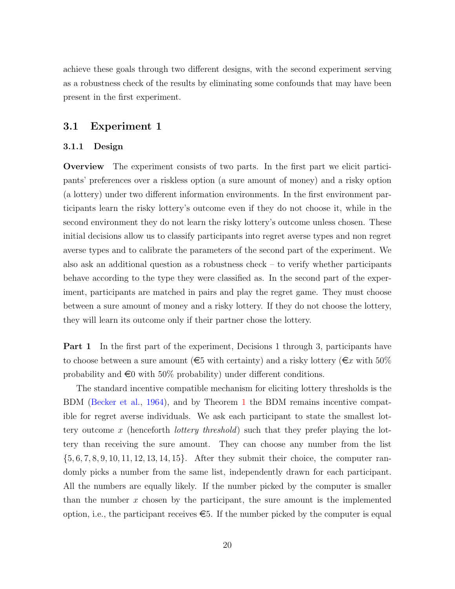achieve these goals through two different designs, with the second experiment serving as a robustness check of the results by eliminating some confounds that may have been present in the first experiment.

## <span id="page-19-0"></span>3.1 Experiment 1

## 3.1.1 Design

Overview The experiment consists of two parts. In the first part we elicit participants' preferences over a riskless option (a sure amount of money) and a risky option (a lottery) under two different information environments. In the first environment participants learn the risky lottery's outcome even if they do not choose it, while in the second environment they do not learn the risky lottery's outcome unless chosen. These initial decisions allow us to classify participants into regret averse types and non regret averse types and to calibrate the parameters of the second part of the experiment. We also ask an additional question as a robustness check – to verify whether participants behave according to the type they were classified as. In the second part of the experiment, participants are matched in pairs and play the regret game. They must choose between a sure amount of money and a risky lottery. If they do not choose the lottery, they will learn its outcome only if their partner chose the lottery.

Part 1 In the first part of the experiment, Decisions 1 through 3, participants have to choose between a sure amount ( $\epsilon$ 5 with certainty) and a risky lottery ( $\epsilon$ x with 50%) probability and  $\epsilon$ 0 with 50% probability) under different conditions.

The standard incentive compatible mechanism for eliciting lottery thresholds is the BDM [\(Becker et al.,](#page-37-8) [1964\)](#page-37-8), and by Theorem [1](#page-9-0) the BDM remains incentive compatible for regret averse individuals. We ask each participant to state the smallest lottery outcome x (henceforth *lottery threshold*) such that they prefer playing the lottery than receiving the sure amount. They can choose any number from the list {5, 6, 7, 8, 9, 10, 11, 12, 13, 14, 15}. After they submit their choice, the computer randomly picks a number from the same list, independently drawn for each participant. All the numbers are equally likely. If the number picked by the computer is smaller than the number  $x$  chosen by the participant, the sure amount is the implemented option, i.e., the participant receives  $\epsilon$ . If the number picked by the computer is equal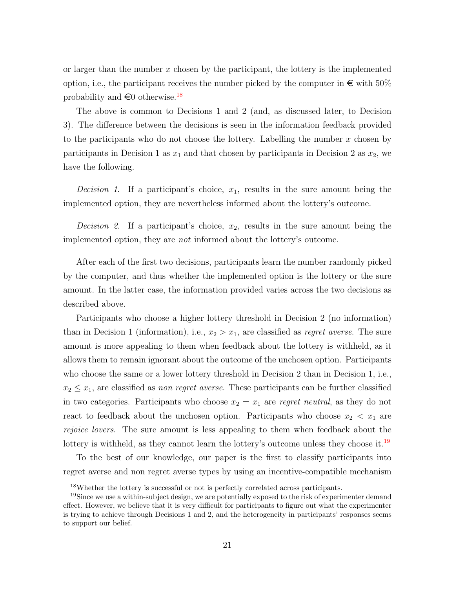or larger than the number  $x$  chosen by the participant, the lottery is the implemented option, i.e., the participant receives the number picked by the computer in  $\epsilon$  with 50% probability and  $\infty$  otherwise.<sup>[18](#page-20-0)</sup>

The above is common to Decisions 1 and 2 (and, as discussed later, to Decision 3). The difference between the decisions is seen in the information feedback provided to the participants who do not choose the lottery. Labelling the number  $x$  chosen by participants in Decision 1 as  $x_1$  and that chosen by participants in Decision 2 as  $x_2$ , we have the following.

*Decision 1.* If a participant's choice,  $x_1$ , results in the sure amount being the implemented option, they are nevertheless informed about the lottery's outcome.

*Decision 2.* If a participant's choice,  $x_2$ , results in the sure amount being the implemented option, they are *not* informed about the lottery's outcome.

After each of the first two decisions, participants learn the number randomly picked by the computer, and thus whether the implemented option is the lottery or the sure amount. In the latter case, the information provided varies across the two decisions as described above.

Participants who choose a higher lottery threshold in Decision 2 (no information) than in Decision 1 (information), i.e.,  $x_2 > x_1$ , are classified as *regret averse*. The sure amount is more appealing to them when feedback about the lottery is withheld, as it allows them to remain ignorant about the outcome of the unchosen option. Participants who choose the same or a lower lottery threshold in Decision 2 than in Decision 1, i.e.,  $x_2 \leq x_1$ , are classified as non regret averse. These participants can be further classified in two categories. Participants who choose  $x_2 = x_1$  are regret neutral, as they do not react to feedback about the unchosen option. Participants who choose  $x_2 < x_1$  are rejoice lovers. The sure amount is less appealing to them when feedback about the lottery is withheld, as they cannot learn the lottery's outcome unless they choose it.<sup>[19](#page-20-1)</sup>

To the best of our knowledge, our paper is the first to classify participants into regret averse and non regret averse types by using an incentive-compatible mechanism

<span id="page-20-1"></span><span id="page-20-0"></span><sup>18</sup>Whether the lottery is successful or not is perfectly correlated across participants.

<sup>&</sup>lt;sup>19</sup>Since we use a within-subject design, we are potentially exposed to the risk of experimenter demand effect. However, we believe that it is very difficult for participants to figure out what the experimenter is trying to achieve through Decisions 1 and 2, and the heterogeneity in participants' responses seems to support our belief.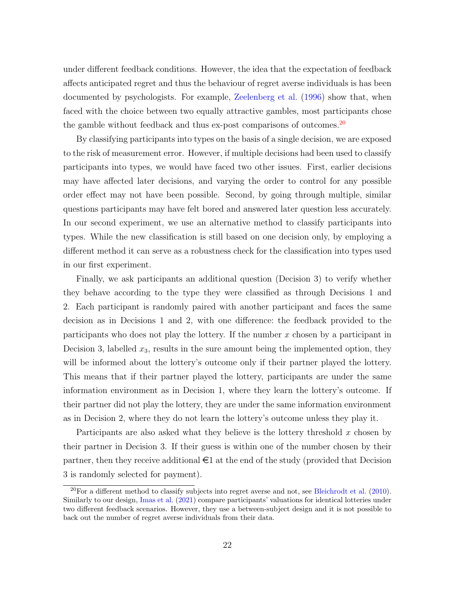under different feedback conditions. However, the idea that the expectation of feedback affects anticipated regret and thus the behaviour of regret averse individuals is has been documented by psychologists. For example, [Zeelenberg et al.](#page-39-0) [\(1996\)](#page-39-0) show that, when faced with the choice between two equally attractive gambles, most participants chose the gamble without feedback and thus ex-post comparisons of outcomes.<sup>[20](#page-21-0)</sup>

By classifying participants into types on the basis of a single decision, we are exposed to the risk of measurement error. However, if multiple decisions had been used to classify participants into types, we would have faced two other issues. First, earlier decisions may have affected later decisions, and varying the order to control for any possible order effect may not have been possible. Second, by going through multiple, similar questions participants may have felt bored and answered later question less accurately. In our second experiment, we use an alternative method to classify participants into types. While the new classification is still based on one decision only, by employing a different method it can serve as a robustness check for the classification into types used in our first experiment.

Finally, we ask participants an additional question (Decision 3) to verify whether they behave according to the type they were classified as through Decisions 1 and 2. Each participant is randomly paired with another participant and faces the same decision as in Decisions 1 and 2, with one difference: the feedback provided to the participants who does not play the lottery. If the number  $x$  chosen by a participant in Decision 3, labelled  $x_3$ , results in the sure amount being the implemented option, they will be informed about the lottery's outcome only if their partner played the lottery. This means that if their partner played the lottery, participants are under the same information environment as in Decision 1, where they learn the lottery's outcome. If their partner did not play the lottery, they are under the same information environment as in Decision 2, where they do not learn the lottery's outcome unless they play it.

Participants are also asked what they believe is the lottery threshold  $x$  chosen by their partner in Decision 3. If their guess is within one of the number chosen by their partner, then they receive additional  $\epsilon_1$  at the end of the study (provided that Decision 3 is randomly selected for payment).

<span id="page-21-0"></span> $^{20}$ For a different method to classify subjects into regret averse and not, see [Bleichrodt et al.](#page-37-10) [\(2010\)](#page-37-10). Similarly to our design, [Imas et al.](#page-39-9) [\(2021\)](#page-39-9) compare participants' valuations for identical lotteries under two different feedback scenarios. However, they use a between-subject design and it is not possible to back out the number of regret averse individuals from their data.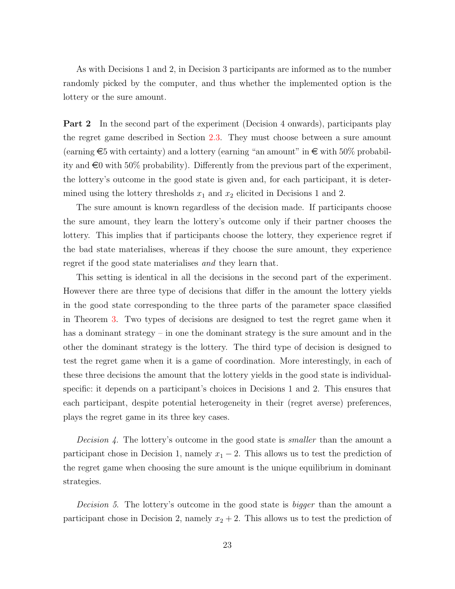As with Decisions 1 and 2, in Decision 3 participants are informed as to the number randomly picked by the computer, and thus whether the implemented option is the lottery or the sure amount.

Part 2 In the second part of the experiment (Decision 4 onwards), participants play the regret game described in Section [2.3.](#page-15-0) They must choose between a sure amount (earning  $\text{\textsterling}5$  with certainty) and a lottery (earning "an amount" in  $\text{\textsterling}$  with 50% probability and  $\epsilon$ 0 with 50% probability). Differently from the previous part of the experiment, the lottery's outcome in the good state is given and, for each participant, it is determined using the lottery thresholds  $x_1$  and  $x_2$  elicited in Decisions 1 and 2.

The sure amount is known regardless of the decision made. If participants choose the sure amount, they learn the lottery's outcome only if their partner chooses the lottery. This implies that if participants choose the lottery, they experience regret if the bad state materialises, whereas if they choose the sure amount, they experience regret if the good state materialises and they learn that.

This setting is identical in all the decisions in the second part of the experiment. However there are three type of decisions that differ in the amount the lottery yields in the good state corresponding to the three parts of the parameter space classified in Theorem [3.](#page-16-0) Two types of decisions are designed to test the regret game when it has a dominant strategy – in one the dominant strategy is the sure amount and in the other the dominant strategy is the lottery. The third type of decision is designed to test the regret game when it is a game of coordination. More interestingly, in each of these three decisions the amount that the lottery yields in the good state is individualspecific: it depends on a participant's choices in Decisions 1 and 2. This ensures that each participant, despite potential heterogeneity in their (regret averse) preferences, plays the regret game in its three key cases.

*Decision 4.* The lottery's outcome in the good state is *smaller* than the amount a participant chose in Decision 1, namely  $x_1 - 2$ . This allows us to test the prediction of the regret game when choosing the sure amount is the unique equilibrium in dominant strategies.

Decision 5. The lottery's outcome in the good state is *bigger* than the amount a participant chose in Decision 2, namely  $x_2 + 2$ . This allows us to test the prediction of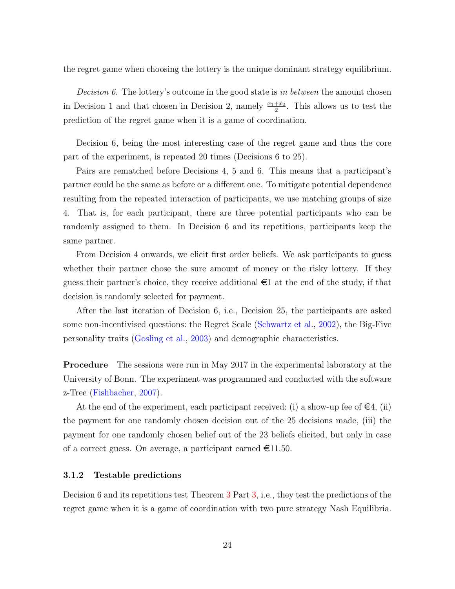the regret game when choosing the lottery is the unique dominant strategy equilibrium.

*Decision 6.* The lottery's outcome in the good state is in between the amount chosen in Decision 1 and that chosen in Decision 2, namely  $\frac{x_1+x_2}{2}$ . This allows us to test the prediction of the regret game when it is a game of coordination.

Decision 6, being the most interesting case of the regret game and thus the core part of the experiment, is repeated 20 times (Decisions 6 to 25).

Pairs are rematched before Decisions 4, 5 and 6. This means that a participant's partner could be the same as before or a different one. To mitigate potential dependence resulting from the repeated interaction of participants, we use matching groups of size 4. That is, for each participant, there are three potential participants who can be randomly assigned to them. In Decision 6 and its repetitions, participants keep the same partner.

From Decision 4 onwards, we elicit first order beliefs. We ask participants to guess whether their partner chose the sure amount of money or the risky lottery. If they guess their partner's choice, they receive additional  $\epsilon$  at the end of the study, if that decision is randomly selected for payment.

After the last iteration of Decision 6, i.e., Decision 25, the participants are asked some non-incentivised questions: the Regret Scale [\(Schwartz et al.,](#page-39-10) [2002\)](#page-39-10), the Big-Five personality traits [\(Gosling et al.,](#page-38-7) [2003\)](#page-38-7) and demographic characteristics.

Procedure The sessions were run in May 2017 in the experimental laboratory at the University of Bonn. The experiment was programmed and conducted with the software z-Tree [\(Fishbacher,](#page-38-8) [2007\)](#page-38-8).

At the end of the experiment, each participant received: (i) a show-up fee of  $\in \mathcal{A}$ , (ii) the payment for one randomly chosen decision out of the 25 decisions made, (iii) the payment for one randomly chosen belief out of the 23 beliefs elicited, but only in case of a correct guess. On average, a participant earned  $\in$ 11.50.

#### 3.1.2 Testable predictions

Decision 6 and its repetitions test Theorem [3](#page-16-0) Part [3,](#page-16-3) i.e., they test the predictions of the regret game when it is a game of coordination with two pure strategy Nash Equilibria.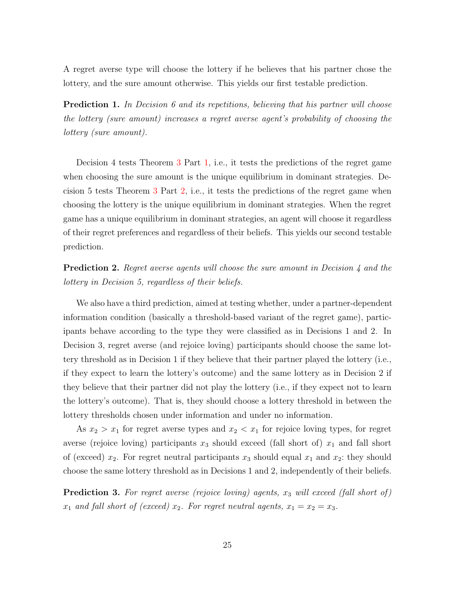A regret averse type will choose the lottery if he believes that his partner chose the lottery, and the sure amount otherwise. This yields our first testable prediction.

<span id="page-24-0"></span>**Prediction 1.** In Decision 6 and its repetitions, believing that his partner will choose the lottery (sure amount) increases a regret averse agent's probability of choosing the lottery (sure amount).

Decision 4 tests Theorem [3](#page-16-0) Part [1,](#page-16-4) i.e., it tests the predictions of the regret game when choosing the sure amount is the unique equilibrium in dominant strategies. Decision 5 tests Theorem [3](#page-16-0) Part [2,](#page-16-5) i.e., it tests the predictions of the regret game when choosing the lottery is the unique equilibrium in dominant strategies. When the regret game has a unique equilibrium in dominant strategies, an agent will choose it regardless of their regret preferences and regardless of their beliefs. This yields our second testable prediction.

<span id="page-24-1"></span>**Prediction 2.** Regret averse agents will choose the sure amount in Decision 4 and the lottery in Decision 5, regardless of their beliefs.

We also have a third prediction, aimed at testing whether, under a partner-dependent information condition (basically a threshold-based variant of the regret game), participants behave according to the type they were classified as in Decisions 1 and 2. In Decision 3, regret averse (and rejoice loving) participants should choose the same lottery threshold as in Decision 1 if they believe that their partner played the lottery (i.e., if they expect to learn the lottery's outcome) and the same lottery as in Decision 2 if they believe that their partner did not play the lottery (i.e., if they expect not to learn the lottery's outcome). That is, they should choose a lottery threshold in between the lottery thresholds chosen under information and under no information.

As  $x_2 > x_1$  for regret averse types and  $x_2 < x_1$  for rejoice loving types, for regret averse (rejoice loving) participants  $x_3$  should exceed (fall short of)  $x_1$  and fall short of (exceed)  $x_2$ . For regret neutral participants  $x_3$  should equal  $x_1$  and  $x_2$ : they should choose the same lottery threshold as in Decisions 1 and 2, independently of their beliefs.

<span id="page-24-2"></span>**Prediction 3.** For regret averse (rejoice loving) agents,  $x_3$  will exceed (fall short of)  $x_1$  and fall short of (exceed)  $x_2$ . For regret neutral agents,  $x_1 = x_2 = x_3$ .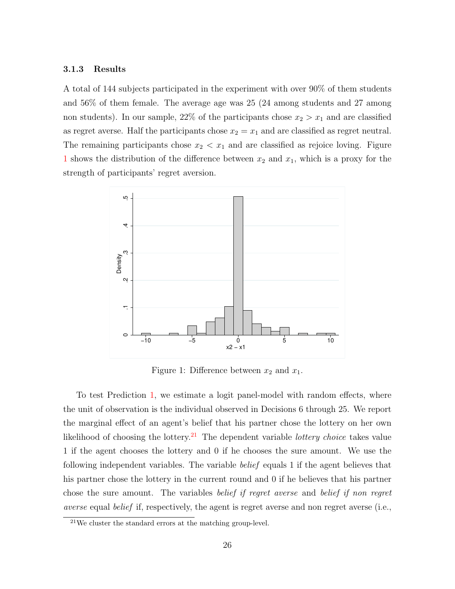## 3.1.3 Results

A total of 144 subjects participated in the experiment with over 90% of them students and 56% of them female. The average age was 25 (24 among students and 27 among non students). In our sample, 22% of the participants chose  $x_2 > x_1$  and are classified as regret averse. Half the participants chose  $x_2 = x_1$  and are classified as regret neutral. The remaining participants chose  $x_2 < x_1$  and are classified as rejoice loving. Figure [1](#page-25-0) shows the distribution of the difference between  $x_2$  and  $x_1$ , which is a proxy for the strength of participants' regret aversion.

<span id="page-25-0"></span>

Figure 1: Difference between  $x_2$  and  $x_1$ .

To test Prediction [1,](#page-24-0) we estimate a logit panel-model with random effects, where the unit of observation is the individual observed in Decisions 6 through 25. We report the marginal effect of an agent's belief that his partner chose the lottery on her own likelihood of choosing the lottery.<sup>[21](#page-25-1)</sup> The dependent variable *lottery choice* takes value 1 if the agent chooses the lottery and 0 if he chooses the sure amount. We use the following independent variables. The variable *belief* equals 1 if the agent believes that his partner chose the lottery in the current round and 0 if he believes that his partner chose the sure amount. The variables belief if regret averse and belief if non regret averse equal belief if, respectively, the agent is regret averse and non regret averse (i.e.,

<span id="page-25-1"></span> $21$ We cluster the standard errors at the matching group-level.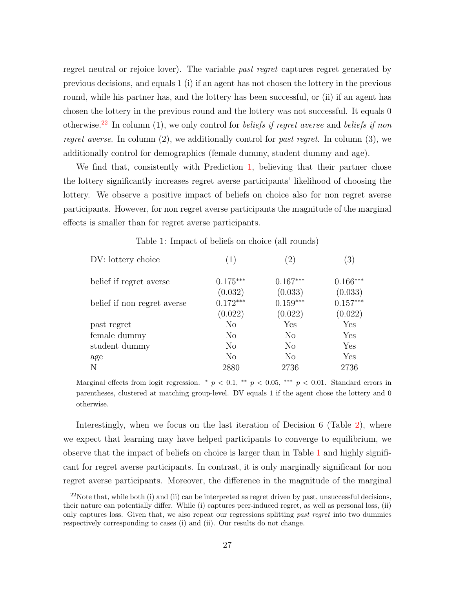regret neutral or rejoice lover). The variable past regret captures regret generated by previous decisions, and equals 1 (i) if an agent has not chosen the lottery in the previous round, while his partner has, and the lottery has been successful, or (ii) if an agent has chosen the lottery in the previous round and the lottery was not successful. It equals 0 otherwise.<sup>[22](#page-26-0)</sup> In column (1), we only control for *beliefs if regret averse* and *beliefs if non regret averse.* In column  $(2)$ , we additionally control for past regret. In column  $(3)$ , we additionally control for demographics (female dummy, student dummy and age).

We find that, consistently with Prediction [1,](#page-24-0) believing that their partner chose the lottery significantly increases regret averse participants' likelihood of choosing the lottery. We observe a positive impact of beliefs on choice also for non regret averse participants. However, for non regret averse participants the magnitude of the marginal effects is smaller than for regret averse participants.

<span id="page-26-1"></span>

| DV: lottery choice          |            | $\overline{2}$ | 3)         |
|-----------------------------|------------|----------------|------------|
|                             |            |                |            |
| belief if regret averse     | $0.175***$ | $0.167***$     | $0.166***$ |
|                             | (0.032)    | (0.033)        | (0.033)    |
| belief if non regret averse | $0.172***$ | $0.159***$     | $0.157***$ |
|                             | (0.022)    | (0.022)        | (0.022)    |
| past regret                 | No         | Yes            | Yes        |
| female dummy                | $\rm No$   | N <sub>0</sub> | Yes        |
| student dummy               | $\rm No$   | N <sub>o</sub> | Yes        |
| age                         | $\rm No$   | N <sub>o</sub> | Yes        |
| N                           | 2880       | 2736           | 2736       |

Table 1: Impact of beliefs on choice (all rounds)

Marginal effects from logit regression. \*  $p < 0.1$ , \*\*  $p < 0.05$ , \*\*\*  $p < 0.01$ . Standard errors in parentheses, clustered at matching group-level. DV equals 1 if the agent chose the lottery and 0 otherwise.

Interestingly, when we focus on the last iteration of Decision 6 (Table [2\)](#page-27-0), where we expect that learning may have helped participants to converge to equilibrium, we observe that the impact of beliefs on choice is larger than in Table [1](#page-26-1) and highly significant for regret averse participants. In contrast, it is only marginally significant for non regret averse participants. Moreover, the difference in the magnitude of the marginal

<span id="page-26-0"></span> $22$ Note that, while both (i) and (ii) can be interpreted as regret driven by past, unsuccessful decisions, their nature can potentially differ. While (i) captures peer-induced regret, as well as personal loss, (ii) only captures loss. Given that, we also repeat our regressions splitting *past regret* into two dummies respectively corresponding to cases (i) and (ii). Our results do not change.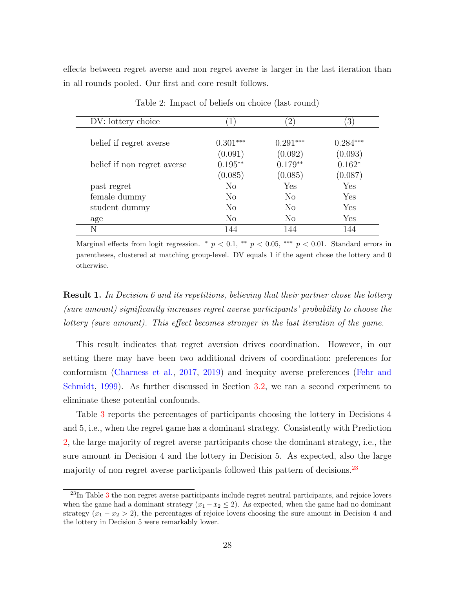effects between regret averse and non regret averse is larger in the last iteration than in all rounds pooled. Our first and core result follows.

<span id="page-27-0"></span>

| DV: lottery choice          | $1^{\prime}$ | $\left( 2\right)$ | $\left(3\right)$ |
|-----------------------------|--------------|-------------------|------------------|
|                             |              |                   |                  |
| belief if regret averse     | $0.301***$   | $0.291***$        | $0.284***$       |
|                             | (0.091)      | (0.092)           | (0.093)          |
| belief if non regret averse | $0.195**$    | $0.179**$         | $0.162*$         |
|                             | (0.085)      | (0.085)           | (0.087)          |
| past regret                 | No           | Yes               | Yes              |
| female dummy                | $\rm No$     | $\rm No$          | Yes              |
| student dummy               | No           | $\rm No$          | Yes              |
| age                         | No           | $\rm No$          | Yes              |
| N                           | 144          | 144               | 144              |

Table 2: Impact of beliefs on choice (last round)

Marginal effects from logit regression. \*  $p < 0.1$ , \*\*  $p < 0.05$ , \*\*\*  $p < 0.01$ . Standard errors in parentheses, clustered at matching group-level. DV equals 1 if the agent chose the lottery and 0 otherwise.

**Result 1.** In Decision 6 and its repetitions, believing that their partner chose the lottery (sure amount) significantly increases regret averse participants' probability to choose the lottery (sure amount). This effect becomes stronger in the last iteration of the game.

This result indicates that regret aversion drives coordination. However, in our setting there may have been two additional drivers of coordination: preferences for conformism [\(Charness et al.,](#page-38-0) [2017,](#page-38-0) [2019\)](#page-37-1) and inequity averse preferences [\(Fehr and](#page-38-1) [Schmidt,](#page-38-1) [1999\)](#page-38-1). As further discussed in Section [3.2,](#page-29-0) we ran a second experiment to eliminate these potential confounds.

Table [3](#page-28-0) reports the percentages of participants choosing the lottery in Decisions 4 and 5, i.e., when the regret game has a dominant strategy. Consistently with Prediction [2,](#page-24-1) the large majority of regret averse participants chose the dominant strategy, i.e., the sure amount in Decision 4 and the lottery in Decision 5. As expected, also the large majority of non regret averse participants followed this pattern of decisions.<sup>[23](#page-27-1)</sup>

<span id="page-27-1"></span><sup>&</sup>lt;sup>2[3](#page-28-0)</sup>In Table 3 the non regret averse participants include regret neutral participants, and rejoice lovers when the game had a dominant strategy  $(x_1 - x_2 \le 2)$ . As expected, when the game had no dominant strategy  $(x_1 - x_2 > 2)$ , the percentages of rejoice lovers choosing the sure amount in Decision 4 and the lottery in Decision 5 were remarkably lower.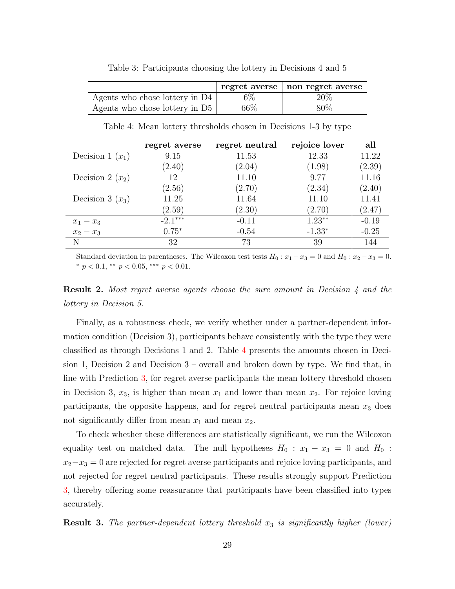<span id="page-28-0"></span>

|                                  |       | regret averse   non regret averse |
|----------------------------------|-------|-----------------------------------|
| Agents who chose lottery in $D4$ | $6\%$ | 20%                               |
| Agents who chose lottery in $D5$ | 66\%  | 80\%                              |

Table 3: Participants choosing the lottery in Decisions 4 and 5

<span id="page-28-1"></span>

|                    | regret averse | regret neutral | rejoice lover | all     |
|--------------------|---------------|----------------|---------------|---------|
| Decision 1 $(x_1)$ | 9.15          | 11.53          | 12.33         | 11.22   |
|                    | (2.40)        | (2.04)         | (1.98)        | (2.39)  |
| Decision 2 $(x_2)$ | 12            | 11.10          | 9.77          | 11.16   |
|                    | (2.56)        | (2.70)         | (2.34)        | (2.40)  |
| Decision 3 $(x_3)$ | 11.25         | 11.64          | 11.10         | 11.41   |
|                    | (2.59)        | (2.30)         | (2.70)        | (2.47)  |
| $x_1-x_3$          | $-2.1***$     | $-0.11$        | $1.23**$      | $-0.19$ |
| $x_2-x_3$          | $0.75*$       | $-0.54$        | $-1.33*$      | $-0.25$ |
| N                  | 32            | 73             | 39            | 144     |

Table 4: Mean lottery thresholds chosen in Decisions 1-3 by type

Standard deviation in parentheses. The Wilcoxon test tests  $H_0: x_1 - x_3 = 0$  and  $H_0: x_2 - x_3 = 0$ . \*  $p < 0.1$ , \*\*  $p < 0.05$ , \*\*\*  $p < 0.01$ .

**Result 2.** Most regret averse agents choose the sure amount in Decision 4 and the lottery in Decision 5.

Finally, as a robustness check, we verify whether under a partner-dependent information condition (Decision 3), participants behave consistently with the type they were classified as through Decisions 1 and 2. Table [4](#page-28-1) presents the amounts chosen in Decision 1, Decision 2 and Decision 3 – overall and broken down by type. We find that, in line with Prediction [3,](#page-24-2) for regret averse participants the mean lottery threshold chosen in Decision 3,  $x_3$ , is higher than mean  $x_1$  and lower than mean  $x_2$ . For rejoice loving participants, the opposite happens, and for regret neutral participants mean  $x_3$  does not significantly differ from mean  $x_1$  and mean  $x_2$ .

To check whether these differences are statistically significant, we run the Wilcoxon equality test on matched data. The null hypotheses  $H_0$  :  $x_1 - x_3 = 0$  and  $H_0$  :  $x_2-x_3=0$  are rejected for regret averse participants and rejoice loving participants, and not rejected for regret neutral participants. These results strongly support Prediction [3,](#page-24-2) thereby offering some reassurance that participants have been classified into types accurately.

**Result 3.** The partner-dependent lottery threshold  $x_3$  is significantly higher (lower)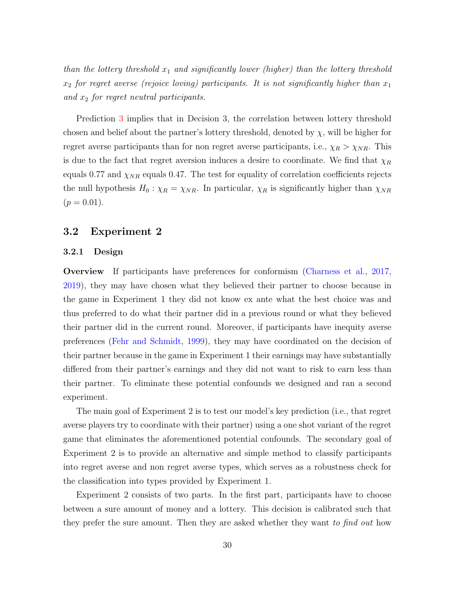than the lottery threshold  $x_1$  and significantly lower (higher) than the lottery threshold  $x_2$  for regret averse (rejoice loving) participants. It is not significantly higher than  $x_1$ and  $x_2$  for regret neutral participants.

Prediction [3](#page-24-2) implies that in Decision 3, the correlation between lottery threshold chosen and belief about the partner's lottery threshold, denoted by  $\chi$ , will be higher for regret averse participants than for non regret averse participants, i.e.,  $\chi_R > \chi_{NR}$ . This is due to the fact that regret aversion induces a desire to coordinate. We find that  $\chi_R$ equals 0.77 and  $\chi_{NR}$  equals 0.47. The test for equality of correlation coefficients rejects the null hypothesis  $H_0: \chi_R = \chi_{NR}$ . In particular,  $\chi_R$  is significantly higher than  $\chi_{NR}$  $(p = 0.01).$ 

## <span id="page-29-0"></span>3.2 Experiment 2

## 3.2.1 Design

Overview If participants have preferences for conformism [\(Charness et al.,](#page-38-0) [2017,](#page-38-0) [2019\)](#page-37-1), they may have chosen what they believed their partner to choose because in the game in Experiment 1 they did not know ex ante what the best choice was and thus preferred to do what their partner did in a previous round or what they believed their partner did in the current round. Moreover, if participants have inequity averse preferences [\(Fehr and Schmidt,](#page-38-1) [1999\)](#page-38-1), they may have coordinated on the decision of their partner because in the game in Experiment 1 their earnings may have substantially differed from their partner's earnings and they did not want to risk to earn less than their partner. To eliminate these potential confounds we designed and ran a second experiment.

The main goal of Experiment 2 is to test our model's key prediction (i.e., that regret averse players try to coordinate with their partner) using a one shot variant of the regret game that eliminates the aforementioned potential confounds. The secondary goal of Experiment 2 is to provide an alternative and simple method to classify participants into regret averse and non regret averse types, which serves as a robustness check for the classification into types provided by Experiment 1.

Experiment 2 consists of two parts. In the first part, participants have to choose between a sure amount of money and a lottery. This decision is calibrated such that they prefer the sure amount. Then they are asked whether they want to find out how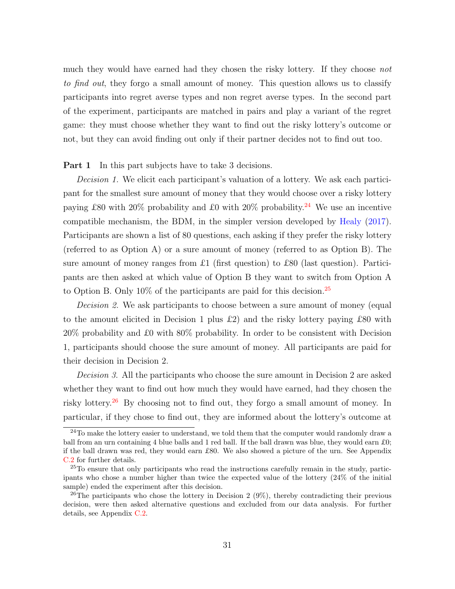much they would have earned had they chosen the risky lottery. If they choose not to find out, they forgo a small amount of money. This question allows us to classify participants into regret averse types and non regret averse types. In the second part of the experiment, participants are matched in pairs and play a variant of the regret game: they must choose whether they want to find out the risky lottery's outcome or not, but they can avoid finding out only if their partner decides not to find out too.

**Part 1** In this part subjects have to take 3 decisions.

Decision 1. We elicit each participant's valuation of a lottery. We ask each participant for the smallest sure amount of money that they would choose over a risky lottery paying £80 with 20% probability and £0 with 20% probability.<sup>[24](#page-30-0)</sup> We use an incentive compatible mechanism, the BDM, in the simpler version developed by [Healy](#page-39-11) [\(2017\)](#page-39-11). Participants are shown a list of 80 questions, each asking if they prefer the risky lottery (referred to as Option A) or a sure amount of money (referred to as Option B). The sure amount of money ranges from £1 (first question) to £80 (last question). Participants are then asked at which value of Option B they want to switch from Option A to Option B. Only  $10\%$  of the participants are paid for this decision.<sup>[25](#page-30-1)</sup>

Decision 2. We ask participants to choose between a sure amount of money (equal to the amount elicited in Decision 1 plus £2) and the risky lottery paying £80 with 20% probability and £0 with 80% probability. In order to be consistent with Decision 1, participants should choose the sure amount of money. All participants are paid for their decision in Decision 2.

Decision 3. All the participants who choose the sure amount in Decision 2 are asked whether they want to find out how much they would have earned, had they chosen the risky lottery.[26](#page-30-2) By choosing not to find out, they forgo a small amount of money. In particular, if they chose to find out, they are informed about the lottery's outcome at

<span id="page-30-0"></span><sup>&</sup>lt;sup>24</sup>To make the lottery easier to understand, we told them that the computer would randomly draw a ball from an urn containing 4 blue balls and 1 red ball. If the ball drawn was blue, they would earn £0; if the ball drawn was red, they would earn £80. We also showed a picture of the urn. See Appendix [C.2](#page-49-0) for further details.

<span id="page-30-1"></span> $^{25}$ To ensure that only participants who read the instructions carefully remain in the study, participants who chose a number higher than twice the expected value of the lottery (24% of the initial sample) ended the experiment after this decision.

<span id="page-30-2"></span><sup>&</sup>lt;sup>26</sup>The participants who chose the lottery in Decision 2 (9%), thereby contradicting their previous decision, were then asked alternative questions and excluded from our data analysis. For further details, see Appendix [C.2.](#page-49-0)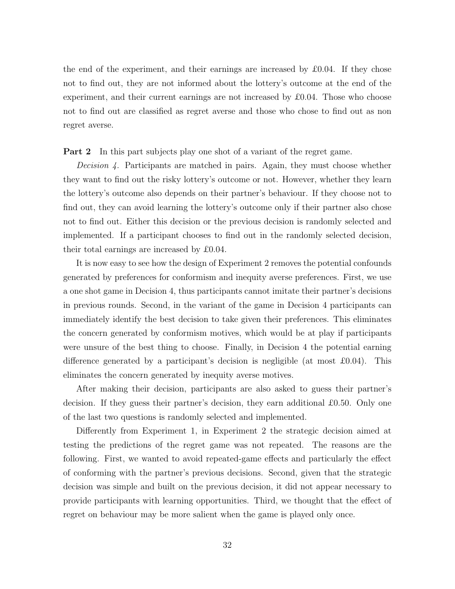the end of the experiment, and their earnings are increased by  $\pounds 0.04$ . If they chose not to find out, they are not informed about the lottery's outcome at the end of the experiment, and their current earnings are not increased by  $\pounds 0.04$ . Those who choose not to find out are classified as regret averse and those who chose to find out as non regret averse.

Part 2 In this part subjects play one shot of a variant of the regret game.

*Decision 4.* Participants are matched in pairs. Again, they must choose whether they want to find out the risky lottery's outcome or not. However, whether they learn the lottery's outcome also depends on their partner's behaviour. If they choose not to find out, they can avoid learning the lottery's outcome only if their partner also chose not to find out. Either this decision or the previous decision is randomly selected and implemented. If a participant chooses to find out in the randomly selected decision, their total earnings are increased by £0.04.

It is now easy to see how the design of Experiment 2 removes the potential confounds generated by preferences for conformism and inequity averse preferences. First, we use a one shot game in Decision 4, thus participants cannot imitate their partner's decisions in previous rounds. Second, in the variant of the game in Decision 4 participants can immediately identify the best decision to take given their preferences. This eliminates the concern generated by conformism motives, which would be at play if participants were unsure of the best thing to choose. Finally, in Decision 4 the potential earning difference generated by a participant's decision is negligible (at most  $\pounds 0.04$ ). This eliminates the concern generated by inequity averse motives.

After making their decision, participants are also asked to guess their partner's decision. If they guess their partner's decision, they earn additional £0.50. Only one of the last two questions is randomly selected and implemented.

Differently from Experiment 1, in Experiment 2 the strategic decision aimed at testing the predictions of the regret game was not repeated. The reasons are the following. First, we wanted to avoid repeated-game effects and particularly the effect of conforming with the partner's previous decisions. Second, given that the strategic decision was simple and built on the previous decision, it did not appear necessary to provide participants with learning opportunities. Third, we thought that the effect of regret on behaviour may be more salient when the game is played only once.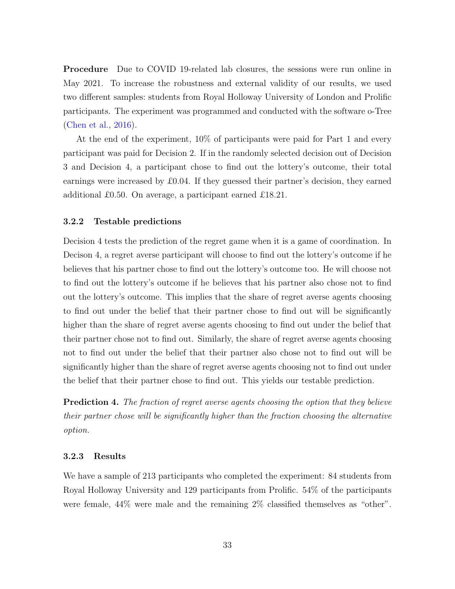Procedure Due to COVID 19-related lab closures, the sessions were run online in May 2021. To increase the robustness and external validity of our results, we used two different samples: students from Royal Holloway University of London and Prolific participants. The experiment was programmed and conducted with the software o-Tree [\(Chen et al.,](#page-38-9) [2016\)](#page-38-9).

At the end of the experiment, 10% of participants were paid for Part 1 and every participant was paid for Decision 2. If in the randomly selected decision out of Decision 3 and Decision 4, a participant chose to find out the lottery's outcome, their total earnings were increased by £0.04. If they guessed their partner's decision, they earned additional £0.50. On average, a participant earned £18.21.

#### 3.2.2 Testable predictions

Decision 4 tests the prediction of the regret game when it is a game of coordination. In Decison 4, a regret averse participant will choose to find out the lottery's outcome if he believes that his partner chose to find out the lottery's outcome too. He will choose not to find out the lottery's outcome if he believes that his partner also chose not to find out the lottery's outcome. This implies that the share of regret averse agents choosing to find out under the belief that their partner chose to find out will be significantly higher than the share of regret averse agents choosing to find out under the belief that their partner chose not to find out. Similarly, the share of regret averse agents choosing not to find out under the belief that their partner also chose not to find out will be significantly higher than the share of regret averse agents choosing not to find out under the belief that their partner chose to find out. This yields our testable prediction.

<span id="page-32-0"></span>Prediction 4. The fraction of regret averse agents choosing the option that they believe their partner chose will be significantly higher than the fraction choosing the alternative option.

#### 3.2.3 Results

We have a sample of 213 participants who completed the experiment: 84 students from Royal Holloway University and 129 participants from Prolific. 54% of the participants were female, 44% were male and the remaining 2% classified themselves as "other".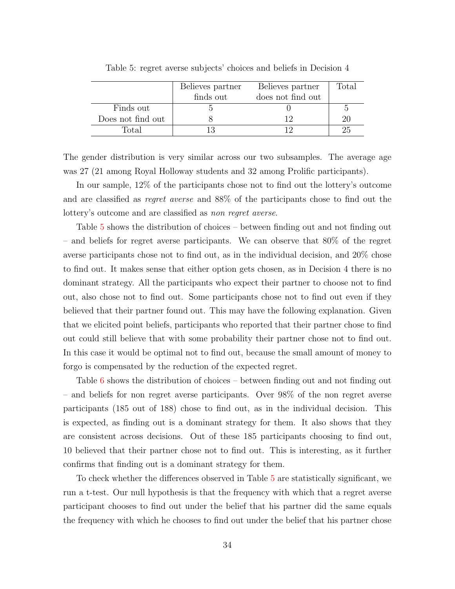<span id="page-33-0"></span>

|                   | Believes partner | Believes partner  | $_{\rm Total}$ |
|-------------------|------------------|-------------------|----------------|
|                   | finds out        | does not find out |                |
| Finds out         |                  |                   | h              |
| Does not find out |                  |                   | 20             |
| Total             |                  |                   |                |

Table 5: regret averse subjects' choices and beliefs in Decision 4

The gender distribution is very similar across our two subsamples. The average age was 27 (21 among Royal Holloway students and 32 among Prolific participants).

In our sample, 12% of the participants chose not to find out the lottery's outcome and are classified as regret averse and 88% of the participants chose to find out the lottery's outcome and are classified as non regret averse.

Table [5](#page-33-0) shows the distribution of choices – between finding out and not finding out – and beliefs for regret averse participants. We can observe that 80% of the regret averse participants chose not to find out, as in the individual decision, and 20% chose to find out. It makes sense that either option gets chosen, as in Decision 4 there is no dominant strategy. All the participants who expect their partner to choose not to find out, also chose not to find out. Some participants chose not to find out even if they believed that their partner found out. This may have the following explanation. Given that we elicited point beliefs, participants who reported that their partner chose to find out could still believe that with some probability their partner chose not to find out. In this case it would be optimal not to find out, because the small amount of money to forgo is compensated by the reduction of the expected regret.

Table [6](#page-34-1) shows the distribution of choices – between finding out and not finding out – and beliefs for non regret averse participants. Over 98% of the non regret averse participants (185 out of 188) chose to find out, as in the individual decision. This is expected, as finding out is a dominant strategy for them. It also shows that they are consistent across decisions. Out of these 185 participants choosing to find out, 10 believed that their partner chose not to find out. This is interesting, as it further confirms that finding out is a dominant strategy for them.

To check whether the differences observed in Table [5](#page-33-0) are statistically significant, we run a t-test. Our null hypothesis is that the frequency with which that a regret averse participant chooses to find out under the belief that his partner did the same equals the frequency with which he chooses to find out under the belief that his partner chose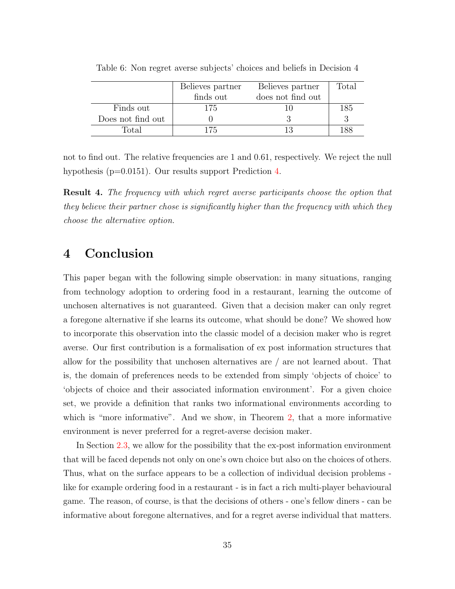|                   | Believes partner | Believes partner  | $\text{Total}$ |
|-------------------|------------------|-------------------|----------------|
|                   | finds out        | does not find out |                |
| Finds out         | 175              |                   | 185            |
| Does not find out |                  |                   |                |
| Total             | 175              |                   | 188            |

<span id="page-34-1"></span>Table 6: Non regret averse subjects' choices and beliefs in Decision 4

not to find out. The relative frequencies are 1 and 0.61, respectively. We reject the null hypothesis (p=0.0151). Our results support Prediction [4.](#page-32-0)

Result 4. The frequency with which regret averse participants choose the option that they believe their partner chose is significantly higher than the frequency with which they choose the alternative option.

# <span id="page-34-0"></span>4 Conclusion

This paper began with the following simple observation: in many situations, ranging from technology adoption to ordering food in a restaurant, learning the outcome of unchosen alternatives is not guaranteed. Given that a decision maker can only regret a foregone alternative if she learns its outcome, what should be done? We showed how to incorporate this observation into the classic model of a decision maker who is regret averse. Our first contribution is a formalisation of ex post information structures that allow for the possibility that unchosen alternatives are / are not learned about. That is, the domain of preferences needs to be extended from simply 'objects of choice' to 'objects of choice and their associated information environment'. For a given choice set, we provide a definition that ranks two informational environments according to which is "more informative". And we show, in Theorem [2,](#page-11-0) that a more informative environment is never preferred for a regret-averse decision maker.

In Section [2.3,](#page-15-0) we allow for the possibility that the ex-post information environment that will be faced depends not only on one's own choice but also on the choices of others. Thus, what on the surface appears to be a collection of individual decision problems like for example ordering food in a restaurant - is in fact a rich multi-player behavioural game. The reason, of course, is that the decisions of others - one's fellow diners - can be informative about foregone alternatives, and for a regret averse individual that matters.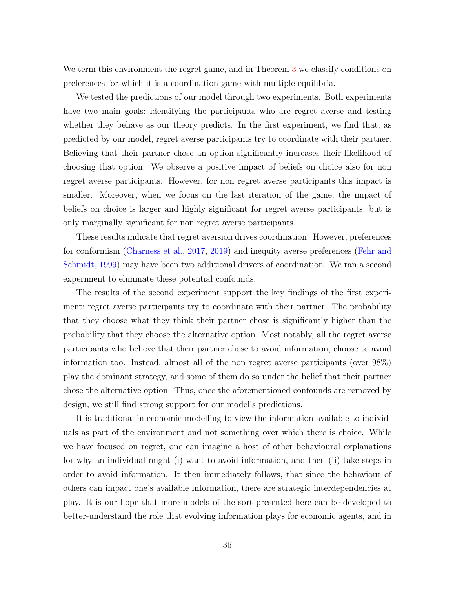We term this environment the regret game, and in Theorem [3](#page-16-0) we classify conditions on preferences for which it is a coordination game with multiple equilibria.

We tested the predictions of our model through two experiments. Both experiments have two main goals: identifying the participants who are regret averse and testing whether they behave as our theory predicts. In the first experiment, we find that, as predicted by our model, regret averse participants try to coordinate with their partner. Believing that their partner chose an option significantly increases their likelihood of choosing that option. We observe a positive impact of beliefs on choice also for non regret averse participants. However, for non regret averse participants this impact is smaller. Moreover, when we focus on the last iteration of the game, the impact of beliefs on choice is larger and highly significant for regret averse participants, but is only marginally significant for non regret averse participants.

These results indicate that regret aversion drives coordination. However, preferences for conformism [\(Charness et al.,](#page-38-0) [2017,](#page-38-0) [2019\)](#page-37-1) and inequity averse preferences [\(Fehr and](#page-38-1) [Schmidt,](#page-38-1) [1999\)](#page-38-1) may have been two additional drivers of coordination. We ran a second experiment to eliminate these potential confounds.

The results of the second experiment support the key findings of the first experiment: regret averse participants try to coordinate with their partner. The probability that they choose what they think their partner chose is significantly higher than the probability that they choose the alternative option. Most notably, all the regret averse participants who believe that their partner chose to avoid information, choose to avoid information too. Instead, almost all of the non regret averse participants (over 98%) play the dominant strategy, and some of them do so under the belief that their partner chose the alternative option. Thus, once the aforementioned confounds are removed by design, we still find strong support for our model's predictions.

It is traditional in economic modelling to view the information available to individuals as part of the environment and not something over which there is choice. While we have focused on regret, one can imagine a host of other behavioural explanations for why an individual might (i) want to avoid information, and then (ii) take steps in order to avoid information. It then immediately follows, that since the behaviour of others can impact one's available information, there are strategic interdependencies at play. It is our hope that more models of the sort presented here can be developed to better-understand the role that evolving information plays for economic agents, and in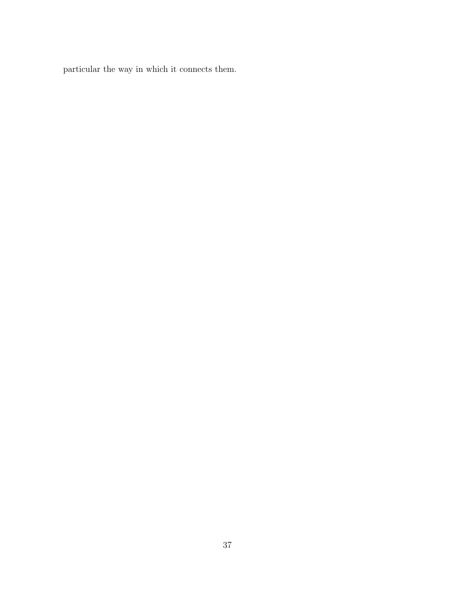particular the way in which it connects them.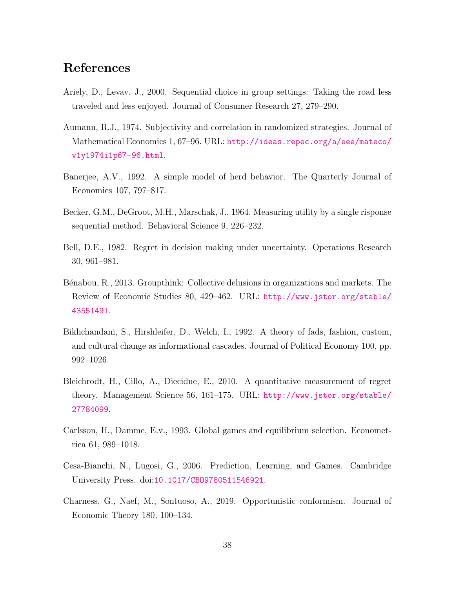# References

- <span id="page-37-0"></span>Ariely, D., Levav, J., 2000. Sequential choice in group settings: Taking the road less traveled and less enjoyed. Journal of Consumer Research 27, 279–290.
- <span id="page-37-5"></span>Aumann, R.J., 1974. Subjectivity and correlation in randomized strategies. Journal of Mathematical Economics 1, 67–96. URL: [http://ideas.repec.org/a/eee/mateco/](http://ideas.repec.org/a/eee/mateco/v1y1974i1p67-96.html) [v1y1974i1p67-96.html](http://ideas.repec.org/a/eee/mateco/v1y1974i1p67-96.html).
- <span id="page-37-4"></span>Banerjee, A.V., 1992. A simple model of herd behavior. The Quarterly Journal of Economics 107, 797–817.
- <span id="page-37-8"></span>Becker, G.M., DeGroot, M.H., Marschak, J., 1964. Measuring utility by a single risponse sequential method. Behavioral Science 9, 226–232.
- <span id="page-37-2"></span>Bell, D.E., 1982. Regret in decision making under uncertainty. Operations Research 30, 961–981.
- <span id="page-37-7"></span>Bénabou, R., 2013. Groupthink: Collective delusions in organizations and markets. The Review of Economic Studies 80, 429–462. URL: [http://www.jstor.org/stable/](http://www.jstor.org/stable/43551491) [43551491](http://www.jstor.org/stable/43551491).
- <span id="page-37-3"></span>Bikhchandani, S., Hirshleifer, D., Welch, I., 1992. A theory of fads, fashion, custom, and cultural change as informational cascades. Journal of Political Economy 100, pp. 992–1026.
- <span id="page-37-10"></span>Bleichrodt, H., Cillo, A., Diecidue, E., 2010. A quantitative measurement of regret theory. Management Science 56, 161–175. URL: [http://www.jstor.org/stable/](http://www.jstor.org/stable/27784099) [27784099](http://www.jstor.org/stable/27784099).
- <span id="page-37-9"></span>Carlsson, H., Damme, E.v., 1993. Global games and equilibrium selection. Econometrica 61, 989–1018.
- <span id="page-37-6"></span>Cesa-Bianchi, N., Lugosi, G., 2006. Prediction, Learning, and Games. Cambridge University Press. doi:[10.1017/CBO9780511546921](http://dx.doi.org/10.1017/CBO9780511546921).
- <span id="page-37-1"></span>Charness, G., Naef, M., Sontuoso, A., 2019. Opportunistic conformism. Journal of Economic Theory 180, 100–134.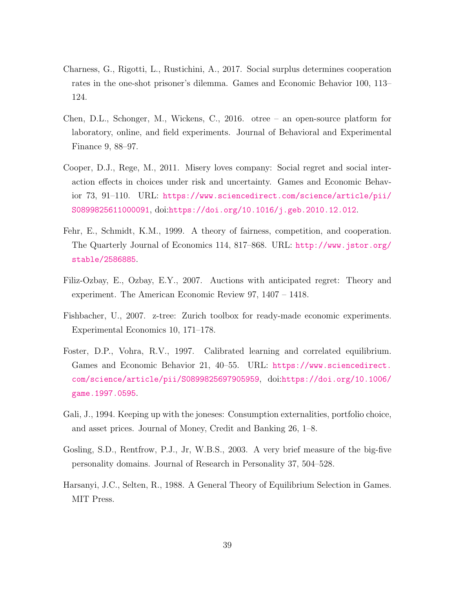- <span id="page-38-0"></span>Charness, G., Rigotti, L., Rustichini, A., 2017. Social surplus determines cooperation rates in the one-shot prisoner's dilemma. Games and Economic Behavior 100, 113– 124.
- <span id="page-38-9"></span>Chen, D.L., Schonger, M., Wickens, C., 2016. otree – an open-source platform for laboratory, online, and field experiments. Journal of Behavioral and Experimental Finance 9, 88–97.
- <span id="page-38-4"></span>Cooper, D.J., Rege, M., 2011. Misery loves company: Social regret and social interaction effects in choices under risk and uncertainty. Games and Economic Behavior 73, 91–110. URL: [https://www.sciencedirect.com/science/article/pii/](https://www.sciencedirect.com/science/article/pii/S0899825611000091) [S0899825611000091](https://www.sciencedirect.com/science/article/pii/S0899825611000091), doi:[https://doi.org/10.1016/j.geb.2010.12.012](http://dx.doi.org/https://doi.org/10.1016/j.geb.2010.12.012).
- <span id="page-38-1"></span>Fehr, E., Schmidt, K.M., 1999. A theory of fairness, competition, and cooperation. The Quarterly Journal of Economics 114, 817–868. URL: [http://www.jstor.org/](http://www.jstor.org/stable/2586885) [stable/2586885](http://www.jstor.org/stable/2586885).
- <span id="page-38-2"></span>Filiz-Ozbay, E., Ozbay, E.Y., 2007. Auctions with anticipated regret: Theory and experiment. The American Economic Review 97, 1407 – 1418.
- <span id="page-38-8"></span>Fishbacher, U., 2007. z-tree: Zurich toolbox for ready-made economic experiments. Experimental Economics 10, 171–178.
- <span id="page-38-3"></span>Foster, D.P., Vohra, R.V., 1997. Calibrated learning and correlated equilibrium. Games and Economic Behavior 21, 40–55. URL: [https://www.sciencedirect.](https://www.sciencedirect.com/science/article/pii/S0899825697905959) [com/science/article/pii/S0899825697905959](https://www.sciencedirect.com/science/article/pii/S0899825697905959), doi:[https://doi.org/10.1006/](http://dx.doi.org/https://doi.org/10.1006/game.1997.0595) [game.1997.0595](http://dx.doi.org/https://doi.org/10.1006/game.1997.0595).
- <span id="page-38-5"></span>Gali, J., 1994. Keeping up with the joneses: Consumption externalities, portfolio choice, and asset prices. Journal of Money, Credit and Banking 26, 1–8.
- <span id="page-38-7"></span>Gosling, S.D., Rentfrow, P.J., Jr, W.B.S., 2003. A very brief measure of the big-five personality domains. Journal of Research in Personality 37, 504–528.
- <span id="page-38-6"></span>Harsanyi, J.C., Selten, R., 1988. A General Theory of Equilibrium Selection in Games. MIT Press.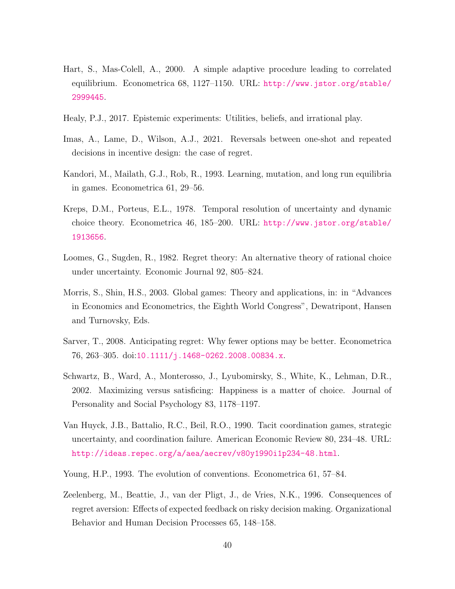- <span id="page-39-2"></span>Hart, S., Mas-Colell, A., 2000. A simple adaptive procedure leading to correlated equilibrium. Econometrica 68, 1127–1150. URL: [http://www.jstor.org/stable/](http://www.jstor.org/stable/2999445) [2999445](http://www.jstor.org/stable/2999445).
- <span id="page-39-11"></span>Healy, P.J., 2017. Epistemic experiments: Utilities, beliefs, and irrational play.
- <span id="page-39-9"></span>Imas, A., Lame, D., Wilson, A.J., 2021. Reversals between one-shot and repeated decisions in incentive design: the case of regret.
- <span id="page-39-5"></span>Kandori, M., Mailath, G.J., Rob, R., 1993. Learning, mutation, and long run equilibria in games. Econometrica 61, 29–56.
- <span id="page-39-3"></span>Kreps, D.M., Porteus, E.L., 1978. Temporal resolution of uncertainty and dynamic choice theory. Econometrica 46, 185–200. URL: [http://www.jstor.org/stable/](http://www.jstor.org/stable/1913656) [1913656](http://www.jstor.org/stable/1913656).
- <span id="page-39-1"></span>Loomes, G., Sugden, R., 1982. Regret theory: An alternative theory of rational choice under uncertainty. Economic Journal 92, 805–824.
- <span id="page-39-7"></span>Morris, S., Shin, H.S., 2003. Global games: Theory and applications, in: in "Advances in Economics and Econometrics, the Eighth World Congress", Dewatripont, Hansen and Turnovsky, Eds.
- <span id="page-39-4"></span>Sarver, T., 2008. Anticipating regret: Why fewer options may be better. Econometrica 76, 263–305. doi:[10.1111/j.1468-0262.2008.00834.x](http://dx.doi.org/10.1111/j.1468-0262.2008.00834.x).
- <span id="page-39-10"></span>Schwartz, B., Ward, A., Monterosso, J., Lyubomirsky, S., White, K., Lehman, D.R., 2002. Maximizing versus satisficing: Happiness is a matter of choice. Journal of Personality and Social Psychology 83, 1178–1197.
- <span id="page-39-8"></span>Van Huyck, J.B., Battalio, R.C., Beil, R.O., 1990. Tacit coordination games, strategic uncertainty, and coordination failure. American Economic Review 80, 234–48. URL: <http://ideas.repec.org/a/aea/aecrev/v80y1990i1p234-48.html>.
- <span id="page-39-6"></span>Young, H.P., 1993. The evolution of conventions. Econometrica 61, 57–84.
- <span id="page-39-0"></span>Zeelenberg, M., Beattie, J., van der Pligt, J., de Vries, N.K., 1996. Consequences of regret aversion: Effects of expected feedback on risky decision making. Organizational Behavior and Human Decision Processes 65, 148–158.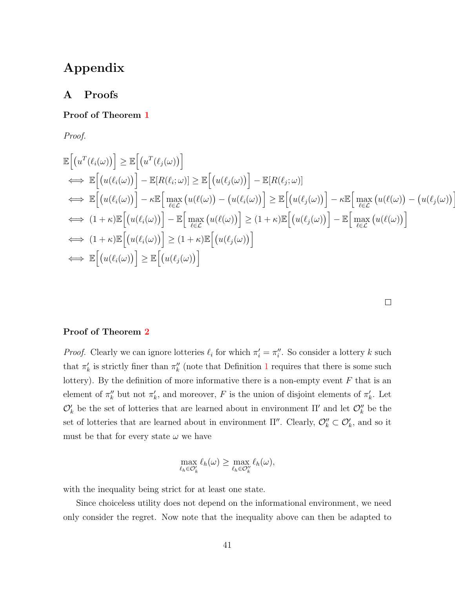# Appendix

# A Proofs

## Proof of Theorem [1](#page-9-0)

Proof.

$$
\mathbb{E}\Big[(u^T(\ell_i(\omega))\Big] \geq \mathbb{E}\Big[(u^T(\ell_j(\omega))\Big] \n\Longleftrightarrow \mathbb{E}\Big[(u(\ell_i(\omega))\Big] - \mathbb{E}[R(\ell_i;\omega)] \geq \mathbb{E}\Big[(u(\ell_j(\omega))\Big] - \mathbb{E}[R(\ell_j;\omega)] \n\Longleftrightarrow \mathbb{E}\Big[(u(\ell_i(\omega))\Big] - \kappa \mathbb{E}\Big[\max_{\ell \in \mathcal{L}}\big(u(\ell(\omega)\big) - \big(u(\ell_i(\omega)\big)\Big] \geq \mathbb{E}\Big[\big(u(\ell_j(\omega)\big)\Big] - \kappa \mathbb{E}\Big[\max_{\ell \in \mathcal{L}}\big(u(\ell(\omega)\big) - \big(u(\ell_i(\omega)\big)\Big] \geq \mathbb{E}\Big[\big(u(\ell_j(\omega)\big)\Big] - \kappa \mathbb{E}\Big[\max_{\ell \in \mathcal{L}}\big(u(\ell(\omega)\big) - \big(u(\ell_j(\omega)\big)\Big] \geq \mathbb{E}\Big[\max_{\ell \in \mathcal{L}}\big(u(\ell(\ell(\omega)\big)\Big] - \mathbb{E}\Big[\max_{\ell \in \mathcal{L}}\big(u(\ell(\ell(\omega)\big)\Big] \geq \mathbb{E}\Big[\big(u(\ell_j(\omega)\big)\Big] \geq \mathbb{E}\Big[\big(u(\ell_j(\omega)\big)\Big] \big)
$$
\n
$$
\Longleftrightarrow \mathbb{E}\Big[\big(u(\ell_i(\omega)\big)\Big] \geq \mathbb{E}\Big[\big(u(\ell_j(\omega)\big)\Big]
$$
\n
$$
\Longleftrightarrow \mathbb{E}\Big[\big(u(\ell_i(\omega)\big)\Big] \geq \mathbb{E}\Big[\big(u(\ell_j(\omega)\big)\Big]
$$

 $\Box$ 

i

## Proof of Theorem [2](#page-11-0)

*Proof.* Clearly we can ignore lotteries  $\ell_i$  for which  $\pi'_i = \pi''_i$ . So consider a lottery k such that  $\pi'_k$  is strictly finer than  $\pi''_k$  (note that Definition [1](#page-10-2) requires that there is some such lottery). By the definition of more informative there is a non-empty event  $F$  that is an element of  $\pi_k''$  but not  $\pi_k'$ , and moreover, F is the union of disjoint elements of  $\pi_k'$ . Let  $\mathcal{O}'_k$  be the set of lotteries that are learned about in environment  $\Pi'$  and let  $\mathcal{O}''_k$  be the set of lotteries that are learned about in environment  $\Pi''$ . Clearly,  $\mathcal{O}_k'' \subset \mathcal{O}_k'$ , and so it must be that for every state  $\omega$  we have

$$
\max_{\ell_h \in \mathcal{O}'_k} \ell_h(\omega) \ge \max_{\ell_h \in \mathcal{O}''_k} \ell_h(\omega),
$$

with the inequality being strict for at least one state.

Since choiceless utility does not depend on the informational environment, we need only consider the regret. Now note that the inequality above can then be adapted to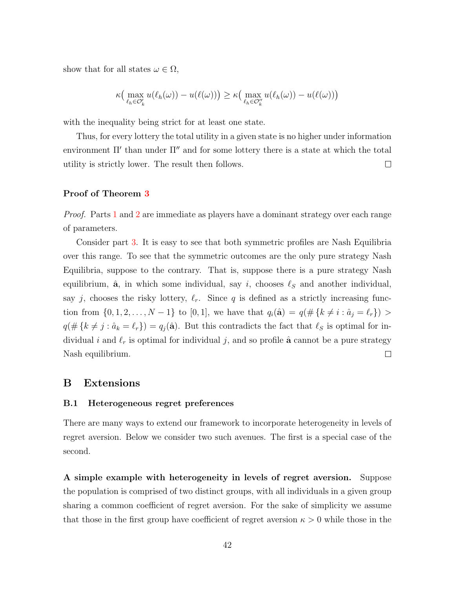show that for all states  $\omega \in \Omega$ ,

$$
\kappa\big(\max_{\ell_h \in \mathcal{O}'_k} u(\ell_h(\omega)) - u(\ell(\omega))\big) \ge \kappa\big(\max_{\ell_h \in \mathcal{O}''_k} u(\ell_h(\omega)) - u(\ell(\omega))\big)
$$

with the inequality being strict for at least one state.

Thus, for every lottery the total utility in a given state is no higher under information environment  $\Pi'$  than under  $\Pi''$  and for some lottery there is a state at which the total utility is strictly lower. The result then follows.  $\Box$ 

## Proof of Theorem [3](#page-16-0)

Proof. Parts [1](#page-16-4) and [2](#page-16-5) are immediate as players have a dominant strategy over each range of parameters.

Consider part [3.](#page-16-3) It is easy to see that both symmetric profiles are Nash Equilibria over this range. To see that the symmetric outcomes are the only pure strategy Nash Equilibria, suppose to the contrary. That is, suppose there is a pure strategy Nash equilibrium,  $\hat{a}$ , in which some individual, say i, chooses  $\ell_S$  and another individual, say j, chooses the risky lottery,  $\ell_r$ . Since q is defined as a strictly increasing function from  $\{0, 1, 2, ..., N-1\}$  to  $[0, 1]$ , we have that  $q_i(\hat{\mathbf{a}}) = q(\# \{k \neq i : \hat{a}_j = \ell_r\})$  $q(\# \{k \neq j : \hat{a}_k = \ell_r\}) = q_j(\hat{\mathbf{a}}).$  But this contradicts the fact that  $\ell_S$  is optimal for individual i and  $\ell_r$  is optimal for individual j, and so profile  $\hat{a}$  cannot be a pure strategy Nash equilibrium.  $\Box$ 

## <span id="page-41-0"></span>B Extensions

#### <span id="page-41-1"></span>B.1 Heterogeneous regret preferences

There are many ways to extend our framework to incorporate heterogeneity in levels of regret aversion. Below we consider two such avenues. The first is a special case of the second.

A simple example with heterogeneity in levels of regret aversion. Suppose the population is comprised of two distinct groups, with all individuals in a given group sharing a common coefficient of regret aversion. For the sake of simplicity we assume that those in the first group have coefficient of regret aversion  $\kappa > 0$  while those in the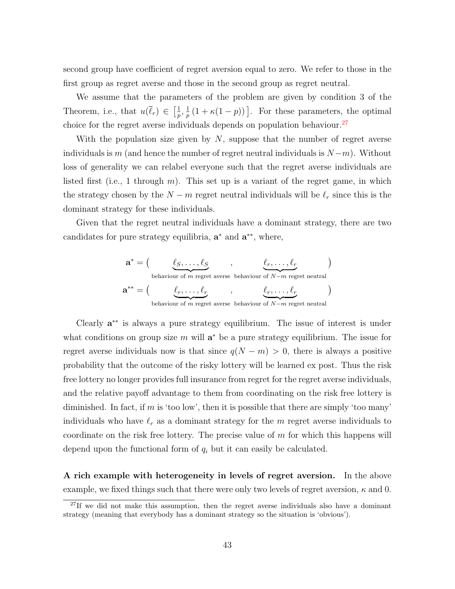second group have coefficient of regret aversion equal to zero. We refer to those in the first group as regret averse and those in the second group as regret neutral.

We assume that the parameters of the problem are given by condition 3 of the Theorem, i.e., that  $u(\bar{\ell}_r) \in \left[\frac{1}{n}\right]$  $\frac{1}{p},\frac{1}{p}$  $\frac{1}{p}(1 + \kappa(1-p))$ . For these parameters, the optimal choice for the regret averse individuals depends on population behaviour.<sup>[27](#page-42-0)</sup>

With the population size given by  $N$ , suppose that the number of regret averse individuals is m (and hence the number of regret neutral individuals is  $N-m$ ). Without loss of generality we can relabel everyone such that the regret averse individuals are listed first (i.e., 1 through  $m$ ). This set up is a variant of the regret game, in which the strategy chosen by the  $N - m$  regret neutral individuals will be  $\ell_r$  since this is the dominant strategy for these individuals.

Given that the regret neutral individuals have a dominant strategy, there are two candidates for pure strategy equilibria,  $\mathbf{a}^*$  and  $\mathbf{a}^{**}$ , where,

$$
\mathbf{a}^* = \begin{pmatrix} \ell_S, \dots, \ell_S & \dots, \ell_r & \dots, \ell_r \\ \text{behavior of } m \text{ regret averse behaviour of } N-m \text{ regret neutral} \end{pmatrix}
$$
\n
$$
\mathbf{a}^{**} = \begin{pmatrix} \ell_r, \dots, \ell_r & \dots, \ell_r \\ \ell_r, \dots, \ell_r & \dots, \ell_r \\ \text{behavior of } m \text{ regret averse behaviour of } N-m \text{ regret neutral} \end{pmatrix}
$$

Clearly a ∗∗ is always a pure strategy equilibrium. The issue of interest is under what conditions on group size  $m$  will  $\mathbf{a}^*$  be a pure strategy equilibrium. The issue for regret averse individuals now is that since  $q(N - m) > 0$ , there is always a positive probability that the outcome of the risky lottery will be learned ex post. Thus the risk free lottery no longer provides full insurance from regret for the regret averse individuals, and the relative payoff advantage to them from coordinating on the risk free lottery is diminished. In fact, if m is 'too low', then it is possible that there are simply 'too many' individuals who have  $\ell_r$  as a dominant strategy for the m regret averse individuals to coordinate on the risk free lottery. The precise value of  $m$  for which this happens will depend upon the functional form of  $q_i$  but it can easily be calculated.

A rich example with heterogeneity in levels of regret aversion. In the above example, we fixed things such that there were only two levels of regret aversion,  $\kappa$  and 0.

<span id="page-42-0"></span> $^{27}$ If we did not make this assumption, then the regret averse individuals also have a dominant strategy (meaning that everybody has a dominant strategy so the situation is 'obvious').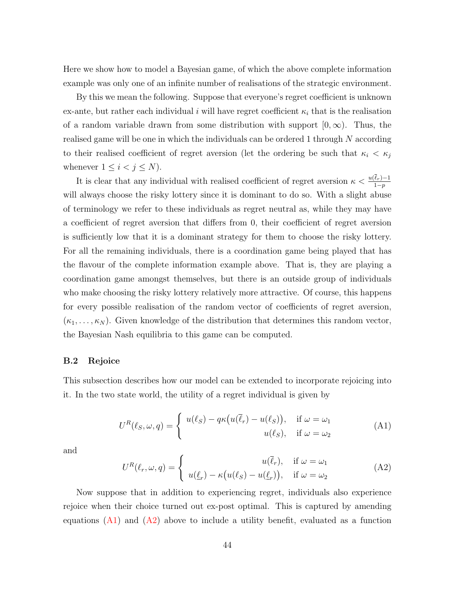Here we show how to model a Bayesian game, of which the above complete information example was only one of an infinite number of realisations of the strategic environment.

By this we mean the following. Suppose that everyone's regret coefficient is unknown ex-ante, but rather each individual i will have regret coefficient  $\kappa_i$  that is the realisation of a random variable drawn from some distribution with support  $[0, \infty)$ . Thus, the realised game will be one in which the individuals can be ordered 1 through  $N$  according to their realised coefficient of regret aversion (let the ordering be such that  $\kappa_i < \kappa_j$ whenever  $1 \leq i < j \leq N$ ).

It is clear that any individual with realised coefficient of regret aversion  $\kappa < \frac{u(\ell_r)-1}{1-p}$ will always choose the risky lottery since it is dominant to do so. With a slight abuse of terminology we refer to these individuals as regret neutral as, while they may have a coefficient of regret aversion that differs from 0, their coefficient of regret aversion is sufficiently low that it is a dominant strategy for them to choose the risky lottery. For all the remaining individuals, there is a coordination game being played that has the flavour of the complete information example above. That is, they are playing a coordination game amongst themselves, but there is an outside group of individuals who make choosing the risky lottery relatively more attractive. Of course, this happens for every possible realisation of the random vector of coefficients of regret aversion,  $(\kappa_1, \ldots, \kappa_N)$ . Given knowledge of the distribution that determines this random vector, the Bayesian Nash equilibria to this game can be computed.

#### <span id="page-43-0"></span>B.2 Rejoice

This subsection describes how our model can be extended to incorporate rejoicing into it. In the two state world, the utility of a regret individual is given by

<span id="page-43-1"></span>
$$
U^{R}(\ell_{S}, \omega, q) = \begin{cases} u(\ell_{S}) - q\kappa(u(\overline{\ell}_{r}) - u(\ell_{S})), & \text{if } \omega = \omega_{1} \\ u(\ell_{S}), & \text{if } \omega = \omega_{2} \end{cases}
$$
(A1)

and

<span id="page-43-2"></span>
$$
U^{R}(\ell_{r}, \omega, q) = \begin{cases} u(\overline{\ell}_{r}), & \text{if } \omega = \omega_{1} \\ u(\underline{\ell}_{r}) - \kappa(u(\ell_{S}) - u(\underline{\ell}_{r})), & \text{if } \omega = \omega_{2} \end{cases}
$$
(A2)

Now suppose that in addition to experiencing regret, individuals also experience rejoice when their choice turned out ex-post optimal. This is captured by amending equations  $(A1)$  and  $(A2)$  above to include a utility benefit, evaluated as a function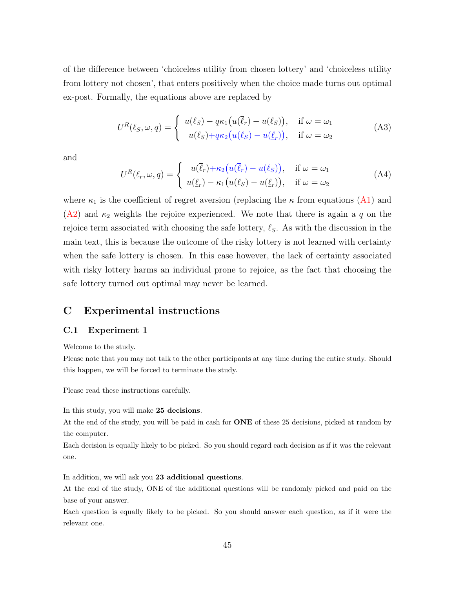of the difference between 'choiceless utility from chosen lottery' and 'choiceless utility from lottery not chosen', that enters positively when the choice made turns out optimal ex-post. Formally, the equations above are replaced by

$$
U^{R}(\ell_{S}, \omega, q) = \begin{cases} u(\ell_{S}) - q\kappa_{1}(u(\overline{\ell}_{r}) - u(\ell_{S})), & \text{if } \omega = \omega_{1} \\ u(\ell_{S}) + q\kappa_{2}(u(\ell_{S}) - u(\underline{\ell}_{r})), & \text{if } \omega = \omega_{2} \end{cases}
$$
(A3)

and

$$
U^{R}(\ell_{r}, \omega, q) = \begin{cases} u(\overline{\ell}_{r}) + \kappa_{2}(u(\overline{\ell}_{r}) - u(\ell_{S})), & \text{if } \omega = \omega_{1} \\ u(\underline{\ell}_{r}) - \kappa_{1}(u(\ell_{S}) - u(\underline{\ell}_{r})), & \text{if } \omega = \omega_{2} \end{cases}
$$
(A4)

where  $\kappa_1$  is the coefficient of regret aversion (replacing the  $\kappa$  from equations [\(A1\)](#page-43-1) and  $(A2)$  and  $\kappa_2$  weights the rejoice experienced. We note that there is again a q on the rejoice term associated with choosing the safe lottery,  $\ell_{\mathcal{S}}$ . As with the discussion in the main text, this is because the outcome of the risky lottery is not learned with certainty when the safe lottery is chosen. In this case however, the lack of certainty associated with risky lottery harms an individual prone to rejoice, as the fact that choosing the safe lottery turned out optimal may never be learned.

## C Experimental instructions

#### C.1 Experiment 1

Welcome to the study.

Please note that you may not talk to the other participants at any time during the entire study. Should this happen, we will be forced to terminate the study.

Please read these instructions carefully.

In this study, you will make 25 decisions.

At the end of the study, you will be paid in cash for **ONE** of these 25 decisions, picked at random by the computer.

Each decision is equally likely to be picked. So you should regard each decision as if it was the relevant one.

In addition, we will ask you 23 additional questions.

At the end of the study, ONE of the additional questions will be randomly picked and paid on the base of your answer.

Each question is equally likely to be picked. So you should answer each question, as if it were the relevant one.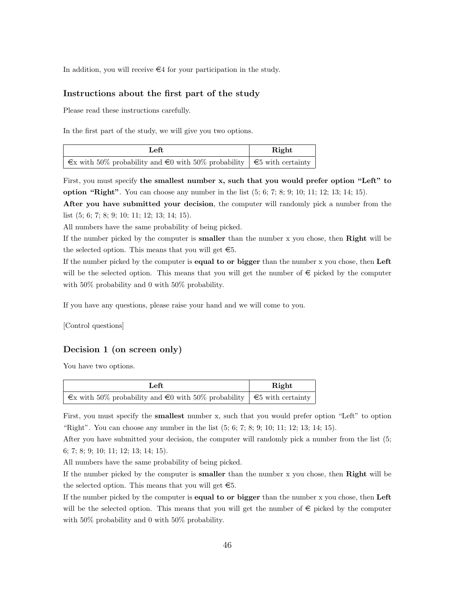In addition, you will receive  $\in 4$  for your participation in the study.

#### Instructions about the first part of the study

Please read these instructions carefully.

In the first part of the study, we will give you two options.

| Left                                                                                   | Right |
|----------------------------------------------------------------------------------------|-------|
| $\infty$ with 50% probability and $\infty$ with 50% probability $\in$ 5 with certainty |       |

First, you must specify the smallest number x, such that you would prefer option "Left" to **option "Right"**. You can choose any number in the list  $(5, 6, 7, 8, 9, 10, 11, 12, 13, 14, 15)$ .

After you have submitted your decision, the computer will randomly pick a number from the list (5; 6; 7; 8; 9; 10; 11; 12; 13; 14; 15).

All numbers have the same probability of being picked.

If the number picked by the computer is **smaller** than the number  $x$  you chose, then **Right** will be the selected option. This means that you will get  $\epsilon$ 5.

If the number picked by the computer is **equal to or bigger** than the number x you chose, then Left will be the selected option. This means that you will get the number of  $\epsilon$  picked by the computer with 50% probability and 0 with 50% probability.

If you have any questions, please raise your hand and we will come to you.

[Control questions]

### Decision 1 (on screen only)

You have two options.

| Left                                                                                              | Right |
|---------------------------------------------------------------------------------------------------|-------|
| $\epsilon$ with 50% probability and $\epsilon$ 0 with 50% probability $\epsilon$ 5 with certainty |       |

First, you must specify the smallest number x, such that you would prefer option "Left" to option "Right". You can choose any number in the list (5; 6; 7; 8; 9; 10; 11; 12; 13; 14; 15).

After you have submitted your decision, the computer will randomly pick a number from the list (5; 6; 7; 8; 9; 10; 11; 12; 13; 14; 15).

All numbers have the same probability of being picked.

If the number picked by the computer is smaller than the number x you chose, then Right will be the selected option. This means that you will get  $\epsilon$ 5.

If the number picked by the computer is **equal to or bigger** than the number x you chose, then Left will be the selected option. This means that you will get the number of  $\epsilon$  picked by the computer with 50% probability and 0 with 50% probability.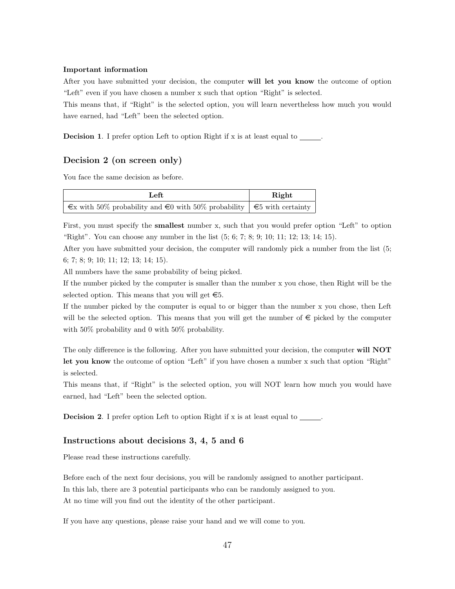#### Important information

After you have submitted your decision, the computer will let you know the outcome of option "Left" even if you have chosen a number x such that option "Right" is selected.

This means that, if "Right" is the selected option, you will learn nevertheless how much you would have earned, had "Left" been the selected option.

**Decision 1.** I prefer option Left to option Right if x is at least equal to \_\_\_\_\_.

## Decision 2 (on screen only)

You face the same decision as before.

| Left                                                                                              | Right |
|---------------------------------------------------------------------------------------------------|-------|
| $\epsilon$ with 50% probability and $\epsilon$ 0 with 50% probability $\epsilon$ 5 with certainty |       |

First, you must specify the smallest number x, such that you would prefer option "Left" to option "Right". You can choose any number in the list (5; 6; 7; 8; 9; 10; 11; 12; 13; 14; 15).

After you have submitted your decision, the computer will randomly pick a number from the list (5; 6; 7; 8; 9; 10; 11; 12; 13; 14; 15).

All numbers have the same probability of being picked.

If the number picked by the computer is smaller than the number x you chose, then Right will be the selected option. This means that you will get  $\epsilon$ 5.

If the number picked by the computer is equal to or bigger than the number x you chose, then Left will be the selected option. This means that you will get the number of  $\epsilon$  picked by the computer with 50% probability and 0 with 50% probability.

The only difference is the following. After you have submitted your decision, the computer will NOT let you know the outcome of option "Left" if you have chosen a number x such that option "Right" is selected.

This means that, if "Right" is the selected option, you will NOT learn how much you would have earned, had "Left" been the selected option.

Decision 2. I prefer option Left to option Right if x is at least equal to \_\_\_\_\_.

#### Instructions about decisions 3, 4, 5 and 6

Please read these instructions carefully.

Before each of the next four decisions, you will be randomly assigned to another participant. In this lab, there are 3 potential participants who can be randomly assigned to you. At no time will you find out the identity of the other participant.

If you have any questions, please raise your hand and we will come to you.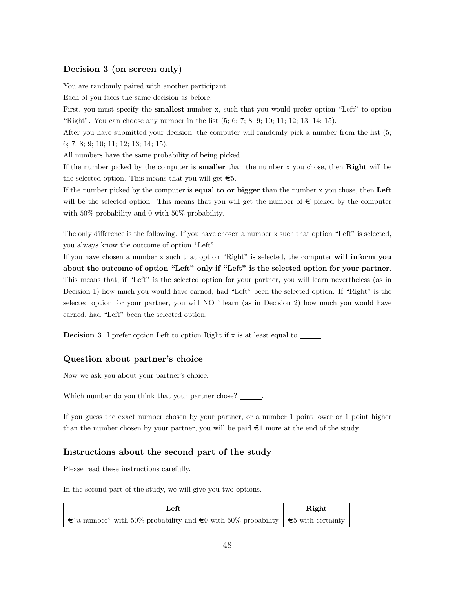## Decision 3 (on screen only)

You are randomly paired with another participant.

Each of you faces the same decision as before.

First, you must specify the smallest number x, such that you would prefer option "Left" to option "Right". You can choose any number in the list (5; 6; 7; 8; 9; 10; 11; 12; 13; 14; 15).

After you have submitted your decision, the computer will randomly pick a number from the list (5; 6; 7; 8; 9; 10; 11; 12; 13; 14; 15).

All numbers have the same probability of being picked.

If the number picked by the computer is smaller than the number x you chose, then Right will be the selected option. This means that you will get  $\epsilon$ 5.

If the number picked by the computer is equal to or bigger than the number x you chose, then Left will be the selected option. This means that you will get the number of  $\epsilon$  picked by the computer with 50% probability and 0 with 50% probability.

The only difference is the following. If you have chosen a number x such that option "Left" is selected, you always know the outcome of option "Left".

If you have chosen a number x such that option "Right" is selected, the computer will inform you about the outcome of option "Left" only if "Left" is the selected option for your partner. This means that, if "Left" is the selected option for your partner, you will learn nevertheless (as in Decision 1) how much you would have earned, had "Left" been the selected option. If "Right" is the selected option for your partner, you will NOT learn (as in Decision 2) how much you would have earned, had "Left" been the selected option.

**Decision 3.** I prefer option Left to option Right if x is at least equal to \_\_\_\_\_.

#### Question about partner's choice

Now we ask you about your partner's choice.

Which number do you think that your partner chose?

If you guess the exact number chosen by your partner, or a number 1 point lower or 1 point higher than the number chosen by your partner, you will be paid  $\epsilon$ 1 more at the end of the study.

#### Instructions about the second part of the study

Please read these instructions carefully.

In the second part of the study, we will give you two options.

| Left                                                                                          | Right |
|-----------------------------------------------------------------------------------------------|-------|
| $\in$ "a number" with 50% probability and $\in$ 0 with 50% probability $\in$ 5 with certainty |       |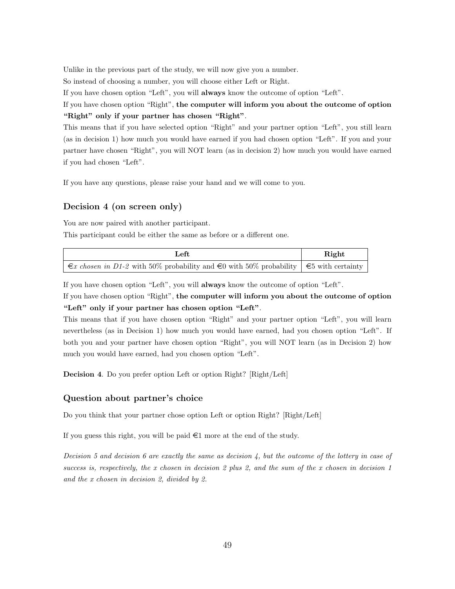Unlike in the previous part of the study, we will now give you a number.

So instead of choosing a number, you will choose either Left or Right.

If you have chosen option "Left", you will always know the outcome of option "Left".

If you have chosen option "Right", the computer will inform you about the outcome of option "Right" only if your partner has chosen "Right".

This means that if you have selected option "Right" and your partner option "Left", you still learn (as in decision 1) how much you would have earned if you had chosen option "Left". If you and your partner have chosen "Right", you will NOT learn (as in decision 2) how much you would have earned if you had chosen "Left".

If you have any questions, please raise your hand and we will come to you.

## Decision 4 (on screen only)

You are now paired with another participant.

This participant could be either the same as before or a different one.

| Left                                                                                                          | Right |
|---------------------------------------------------------------------------------------------------------------|-------|
| $\in \mathcal{E}$ chosen in D1-2 with 50% probability and $\in$ 0 with 50% probability $\in$ 5 with certainty |       |

If you have chosen option "Left", you will always know the outcome of option "Left".

If you have chosen option "Right", the computer will inform you about the outcome of option "Left" only if your partner has chosen option "Left".

This means that if you have chosen option "Right" and your partner option "Left", you will learn nevertheless (as in Decision 1) how much you would have earned, had you chosen option "Left". If both you and your partner have chosen option "Right", you will NOT learn (as in Decision 2) how much you would have earned, had you chosen option "Left".

Decision 4. Do you prefer option Left or option Right? [Right/Left]

#### Question about partner's choice

Do you think that your partner chose option Left or option Right? [Right/Left]

If you guess this right, you will be paid  $\epsilon$ 1 more at the end of the study.

Decision 5 and decision 6 are exactly the same as decision  $\lambda$ , but the outcome of the lottery in case of success is, respectively, the x chosen in decision 2 plus 2, and the sum of the x chosen in decision 1 and the x chosen in decision 2, divided by 2.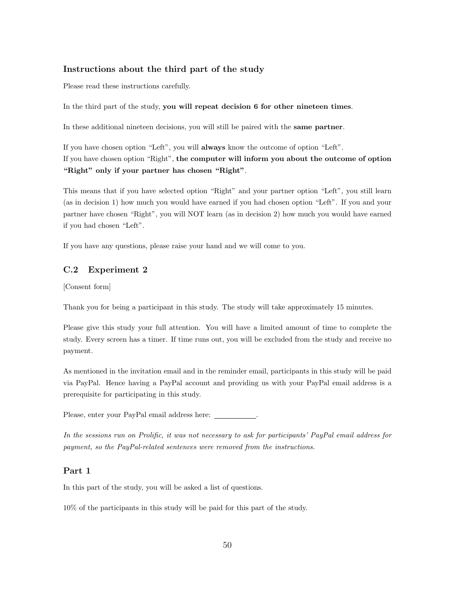### Instructions about the third part of the study

Please read these instructions carefully.

In the third part of the study, you will repeat decision 6 for other nineteen times.

In these additional nineteen decisions, you will still be paired with the same partner.

If you have chosen option "Left", you will always know the outcome of option "Left". If you have chosen option "Right", the computer will inform you about the outcome of option "Right" only if your partner has chosen "Right".

This means that if you have selected option "Right" and your partner option "Left", you still learn (as in decision 1) how much you would have earned if you had chosen option "Left". If you and your partner have chosen "Right", you will NOT learn (as in decision 2) how much you would have earned if you had chosen "Left".

If you have any questions, please raise your hand and we will come to you.

## <span id="page-49-0"></span>C.2 Experiment 2

[Consent form]

Thank you for being a participant in this study. The study will take approximately 15 minutes.

Please give this study your full attention. You will have a limited amount of time to complete the study. Every screen has a timer. If time runs out, you will be excluded from the study and receive no payment.

As mentioned in the invitation email and in the reminder email, participants in this study will be paid via PayPal. Hence having a PayPal account and providing us with your PayPal email address is a prerequisite for participating in this study.

Please, enter your PayPal email address here:  $\sqrt{\frac{P(1-P)(1-P(1-P))}{P(1-P)(1-P)}}$ 

In the sessions run on Prolific, it was not necessary to ask for participants' PayPal email address for payment, so the PayPal-related sentences were removed from the instructions.

#### Part 1

In this part of the study, you will be asked a list of questions.

10% of the participants in this study will be paid for this part of the study.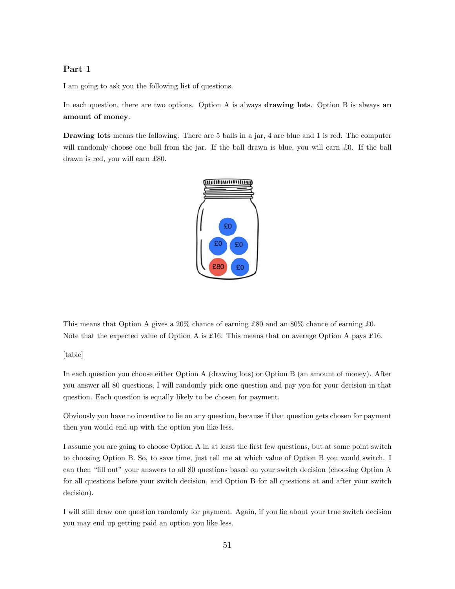## Part 1

I am going to ask you the following list of questions.

In each question, there are two options. Option A is always **drawing lots**. Option B is always **an** amount of money.

Drawing lots means the following. There are 5 balls in a jar, 4 are blue and 1 is red. The computer will randomly choose one ball from the jar. If the ball drawn is blue, you will earn £0. If the ball drawn is red, you will earn £80.



This means that Option A gives a 20% chance of earning £80 and an 80% chance of earning £0. Note that the expected value of Option A is £16. This means that on average Option A pays £16.

[table]

In each question you choose either Option A (drawing lots) or Option B (an amount of money). After you answer all 80 questions, I will randomly pick one question and pay you for your decision in that question. Each question is equally likely to be chosen for payment.

Obviously you have no incentive to lie on any question, because if that question gets chosen for payment then you would end up with the option you like less.

I assume you are going to choose Option A in at least the first few questions, but at some point switch to choosing Option B. So, to save time, just tell me at which value of Option B you would switch. I can then "fill out" your answers to all 80 questions based on your switch decision (choosing Option A for all questions before your switch decision, and Option B for all questions at and after your switch decision).

I will still draw one question randomly for payment. Again, if you lie about your true switch decision you may end up getting paid an option you like less.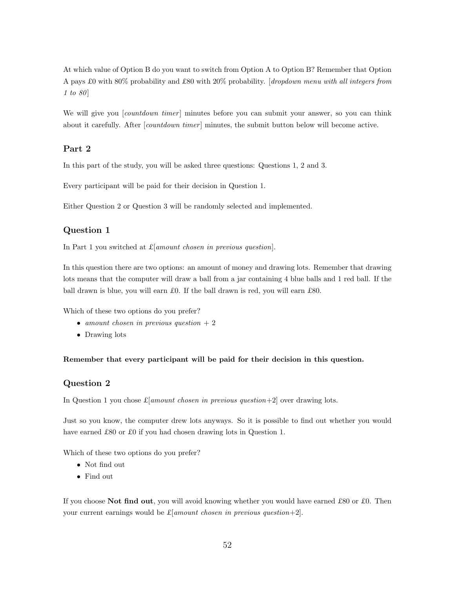At which value of Option B do you want to switch from Option A to Option B? Remember that Option A pays £0 with 80% probability and £80 with 20% probability. [dropdown menu with all integers from 1 to 80

We will give you [*countdown timer*] minutes before you can submit your answer, so you can think about it carefully. After [*countdown timer*] minutes, the submit button below will become active.

## Part 2

In this part of the study, you will be asked three questions: Questions 1, 2 and 3.

Every participant will be paid for their decision in Question 1.

Either Question 2 or Question 3 will be randomly selected and implemented.

## Question 1

In Part 1 you switched at  $\pounds$ [amount chosen in previous question].

In this question there are two options: an amount of money and drawing lots. Remember that drawing lots means that the computer will draw a ball from a jar containing 4 blue balls and 1 red ball. If the ball drawn is blue, you will earn £0. If the ball drawn is red, you will earn £80.

Which of these two options do you prefer?

- amount chosen in previous question  $+2$
- Drawing lots

#### Remember that every participant will be paid for their decision in this question.

#### Question 2

In Question 1 you chose  $\pounds$ [amount chosen in previous question+2] over drawing lots.

Just so you know, the computer drew lots anyways. So it is possible to find out whether you would have earned £80 or £0 if you had chosen drawing lots in Question 1.

Which of these two options do you prefer?

- Not find out
- Find out

If you choose Not find out, you will avoid knowing whether you would have earned £80 or £0. Then your current earnings would be  $\pounds$ [*amount chosen in previous question+2*].